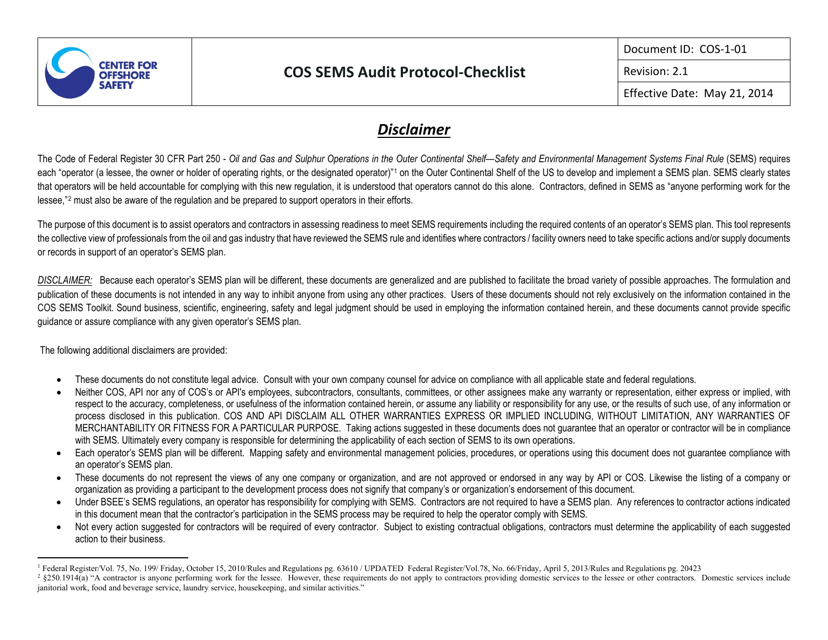

## **COS SEMS Audit Protocol-Checklist**

<span id="page-0-1"></span><span id="page-0-0"></span>Document ID: COS-1-01

Revision: 2.1

Effective Date: May 21, 2014

## *Disclaimer*

The Code of Federal Register 30 CFR Part 250 - *Oil and Gas and Sulphur Operations in the Outer Continental Shelf—Safety and Environmental Management Systems Final Rule* (SEMS) requires each "operator (a lessee, the owner or holder of operating rights, or the designated operator)"<sup>[1](#page-0-0)</sup> on the Outer Continental Shelf of the US to develop and implement a SEMS plan. SEMS clearly states that operators will be held accountable for complying with this new regulation, it is understood that operators cannot do this alone. Contractors, defined in SEMS as "anyone performing work for the lessee,"[2](#page-0-1) must also be aware of the regulation and be prepared to support operators in their efforts.

The purpose of this document is to assist operators and contractors in assessing readiness to meet SEMS requirements including the required contents of an operator's SEMS plan. This tool represents the collective view of professionals from the oil and gas industry that have reviewed the SEMS rule and identifies where contractors / facility owners need to take specific actions and/or supply documents or records in support of an operator's SEMS plan.

*DISCLAIMER:* Because each operator's SEMS plan will be different, these documents are generalized and are published to facilitate the broad variety of possible approaches. The formulation and publication of these documents is not intended in any way to inhibit anyone from using any other practices. Users of these documents should not rely exclusively on the information contained in the COS SEMS Toolkit. Sound business, scientific, engineering, safety and legal judgment should be used in employing the information contained herein, and these documents cannot provide specific guidance or assure compliance with any given operator's SEMS plan.

The following additional disclaimers are provided:

- These documents do not constitute legal advice. Consult with your own company counsel for advice on compliance with all applicable state and federal regulations.
- Neither COS, API nor any of COS's or API's employees, subcontractors, consultants, committees, or other assignees make any warranty or representation, either express or implied, with respect to the accuracy, completeness, or usefulness of the information contained herein, or assume any liability or responsibility for any use, or the results of such use, of any information or process disclosed in this publication. COS AND API DISCLAIM ALL OTHER WARRANTIES EXPRESS OR IMPLIED INCLUDING, WITHOUT LIMITATION, ANY WARRANTIES OF MERCHANTABILITY OR FITNESS FOR A PARTICULAR PURPOSE. Taking actions suggested in these documents does not guarantee that an operator or contractor will be in compliance with SEMS. Ultimately every company is responsible for determining the applicability of each section of SEMS to its own operations.
- Each operator's SEMS plan will be different. Mapping safety and environmental management policies, procedures, or operations using this document does not guarantee compliance with an operator's SEMS plan.
- These documents do not represent the views of any one company or organization, and are not approved or endorsed in any way by API or COS. Likewise the listing of a company or organization as providing a participant to the development process does not signify that company's or organization's endorsement of this document.
- Under BSEE's SEMS regulations, an operator has responsibility for complying with SEMS. Contractors are not required to have a SEMS plan. Any references to contractor actions indicated in this document mean that the contractor's participation in the SEMS process may be required to help the operator comply with SEMS.
- Not every action suggested for contractors will be required of every contractor. Subject to existing contractual obligations, contractors must determine the applicability of each suggested action to their business.

<sup>&</sup>lt;sup>1</sup> Federal Register/Vol. 75, No. 199/ Friday, October 15, 2010/Rules and Regulations pg. 63610 / UPDATED Federal Register/Vol. 78, No. 66/Friday, April 5, 2013/Rules and Regulations pg. 20423<br><sup>2</sup> §250.1914(a) "A contract

janitorial work, food and beverage service, laundry service, housekeeping, and similar activities."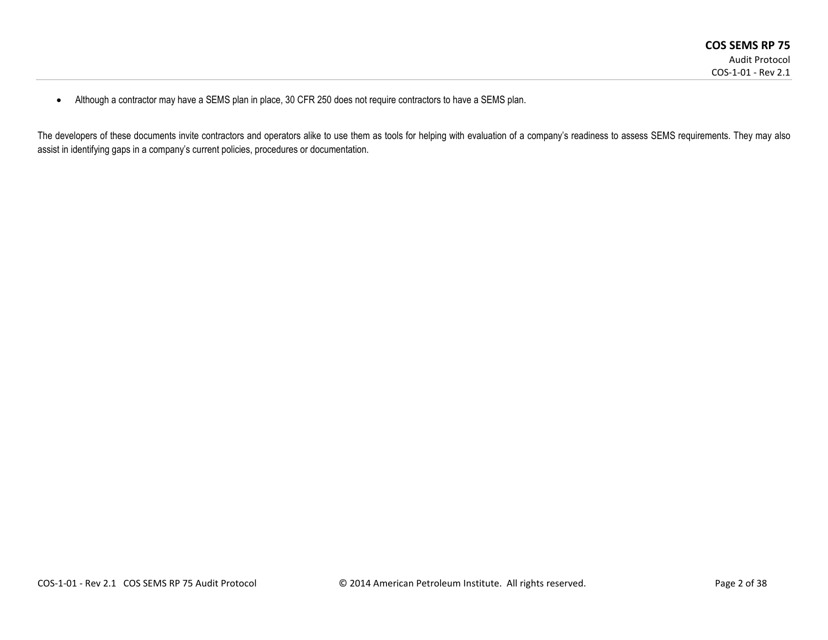• Although a contractor may have a SEMS plan in place, 30 CFR 250 does not require contractors to have a SEMS plan.

The developers of these documents invite contractors and operators alike to use them as tools for helping with evaluation of a company's readiness to assess SEMS requirements. They may also assist in identifying gaps in a company's current policies, procedures or documentation.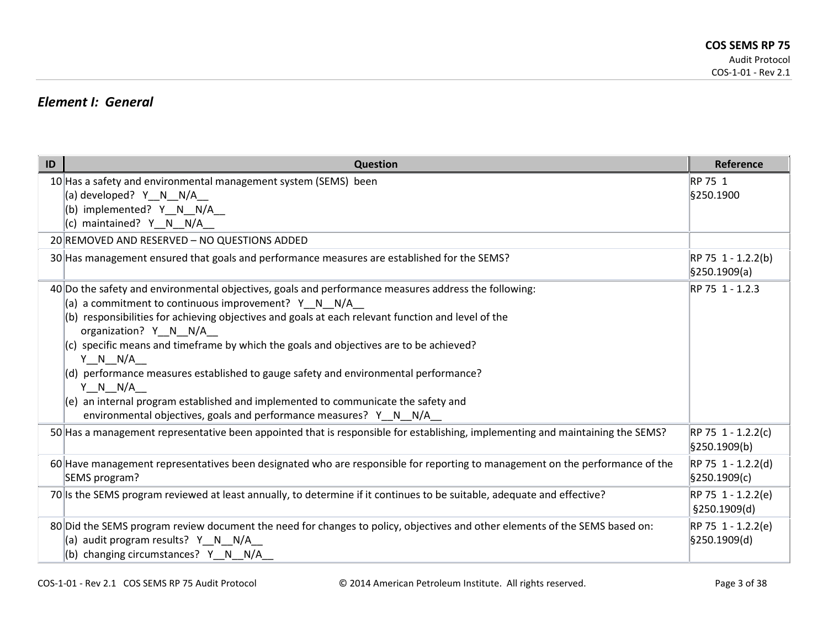### *Element I: General*

| ID | Question                                                                                                                                                                                                                                                                                                                                                                                                                                                                                                                                                                                                                                                               | Reference                            |
|----|------------------------------------------------------------------------------------------------------------------------------------------------------------------------------------------------------------------------------------------------------------------------------------------------------------------------------------------------------------------------------------------------------------------------------------------------------------------------------------------------------------------------------------------------------------------------------------------------------------------------------------------------------------------------|--------------------------------------|
|    | 10 Has a safety and environmental management system (SEMS) been<br>(a) developed? Y_N_N/A_<br>(b) implemented? Y_N_N/A_<br>(c) maintained? Y_N_N/A_                                                                                                                                                                                                                                                                                                                                                                                                                                                                                                                    | RP 75 1<br>§250.1900                 |
|    | 20 REMOVED AND RESERVED - NO QUESTIONS ADDED                                                                                                                                                                                                                                                                                                                                                                                                                                                                                                                                                                                                                           |                                      |
|    | 30 Has management ensured that goals and performance measures are established for the SEMS?                                                                                                                                                                                                                                                                                                                                                                                                                                                                                                                                                                            | RP 75 1 - 1.2.2(b)<br>\$250.1909(a)  |
|    | 40 Do the safety and environmental objectives, goals and performance measures address the following:<br>(a) a commitment to continuous improvement? Y_N_N/A_<br>(b) responsibilities for achieving objectives and goals at each relevant function and level of the<br>organization? Y N N/A<br>$(c)$ specific means and timeframe by which the goals and objectives are to be achieved?<br>$Y \tN N/A$<br>$(d)$ performance measures established to gauge safety and environmental performance?<br>Y N N/A<br>$(e)$ an internal program established and implemented to communicate the safety and<br>environmental objectives, goals and performance measures? Y N N/A | RP 75 1 - 1.2.3                      |
|    | 50 Has a management representative been appointed that is responsible for establishing, implementing and maintaining the SEMS?                                                                                                                                                                                                                                                                                                                                                                                                                                                                                                                                         | $RP 75 1 - 1.2.2(c)$<br>§250.1909(b) |
|    | 60 Have management representatives been designated who are responsible for reporting to management on the performance of the<br>SEMS program?                                                                                                                                                                                                                                                                                                                                                                                                                                                                                                                          | RP 75 1 - 1.2.2(d)<br>§250.1909(c)   |
|    | 70 Is the SEMS program reviewed at least annually, to determine if it continues to be suitable, adequate and effective?                                                                                                                                                                                                                                                                                                                                                                                                                                                                                                                                                | RP 75 1 - 1.2.2(e)<br>§250.1909(d)   |
|    | 80 Did the SEMS program review document the need for changes to policy, objectives and other elements of the SEMS based on:<br>(a) audit program results? Y_N_N/A_<br>(b) changing circumstances? Y_N_N/A_                                                                                                                                                                                                                                                                                                                                                                                                                                                             | $RP 75 1 - 1.2.2(e)$<br>§250.1909(d) |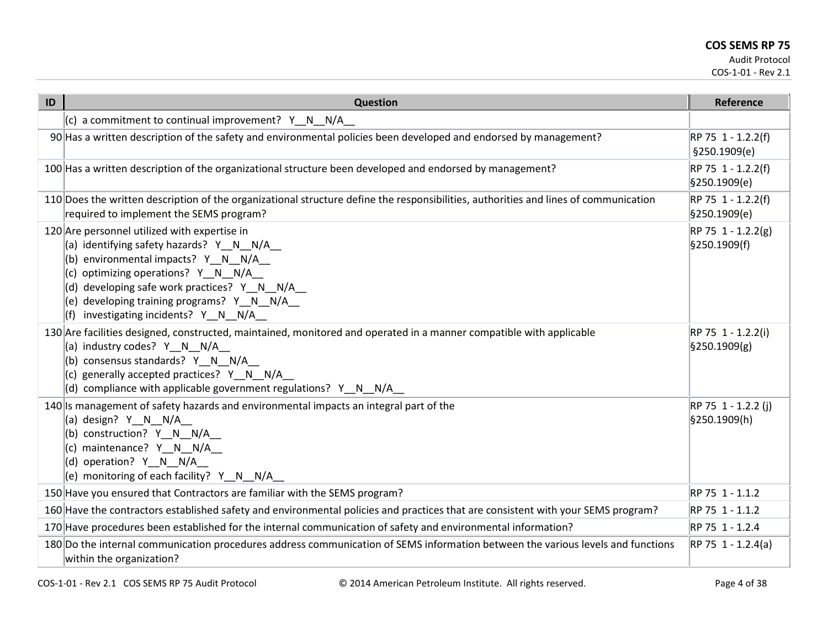| ID | Question                                                                                                                                                                                                                                                                                                          | Reference                                         |
|----|-------------------------------------------------------------------------------------------------------------------------------------------------------------------------------------------------------------------------------------------------------------------------------------------------------------------|---------------------------------------------------|
|    | (c) a commitment to continual improvement? $Y \ N \ N/A$                                                                                                                                                                                                                                                          |                                                   |
|    | 90 Has a written description of the safety and environmental policies been developed and endorsed by management?                                                                                                                                                                                                  | RP 75 1 - 1.2.2(f)<br>§250.1909(e)                |
|    | 100 Has a written description of the organizational structure been developed and endorsed by management?                                                                                                                                                                                                          | RP 75 1 - 1.2.2(f)<br>§250.1909(e)                |
|    | 110 Does the written description of the organizational structure define the responsibilities, authorities and lines of communication<br>required to implement the SEMS program?                                                                                                                                   | RP 75 1 - 1.2.2(f)<br>§250.1909(e)                |
|    | 120 Are personnel utilized with expertise in<br>(a) identifying safety hazards? Y N N/A<br>(b) environmental impacts? $Y \tN N/A$<br>(c) optimizing operations? Y_N_N/A_<br>(d) developing safe work practices? Y_N_N/A_<br>(e) developing training programs? Y N N/A<br>$(f)$ investigating incidents? Y N N/A   | $RP 75 1 - 1.2.2(g)$<br>§250.1909(f)              |
|    | 130 Are facilities designed, constructed, maintained, monitored and operated in a manner compatible with applicable<br>(a) industry codes? Y N N/A<br>(b) consensus standards? $Y \ N \ N/A$<br>(c) generally accepted practices? Y N N/A<br>(d) compliance with applicable government regulations? $Y \ N \ N/A$ | RP 75 1 - 1.2.2(i)<br>$\frac{1}{2}$ \$250.1909(g) |
|    | 140 Is management of safety hazards and environmental impacts an integral part of the<br>(a) design? Y_N_N/A_<br>(b) construction? Y_N_N/A_<br>$(C)$ maintenance? $Y$ N N/A<br>$ (d)$ operation? Y N N/A<br>(e) monitoring of each facility? Y_N_N/A_                                                             | RP 75 1 - 1.2.2 (j)<br>§250.1909(h)               |
|    | 150 Have you ensured that Contractors are familiar with the SEMS program?                                                                                                                                                                                                                                         | RP 75 1 - 1.1.2                                   |
|    | 160 Have the contractors established safety and environmental policies and practices that are consistent with your SEMS program?                                                                                                                                                                                  | RP 75 1 - 1.1.2                                   |
|    | 170 Have procedures been established for the internal communication of safety and environmental information?                                                                                                                                                                                                      | RP 75 1 - 1.2.4                                   |
|    | 180 Do the internal communication procedures address communication of SEMS information between the various levels and functions<br>within the organization?                                                                                                                                                       | $RP 75 1 - 1.2.4(a)$                              |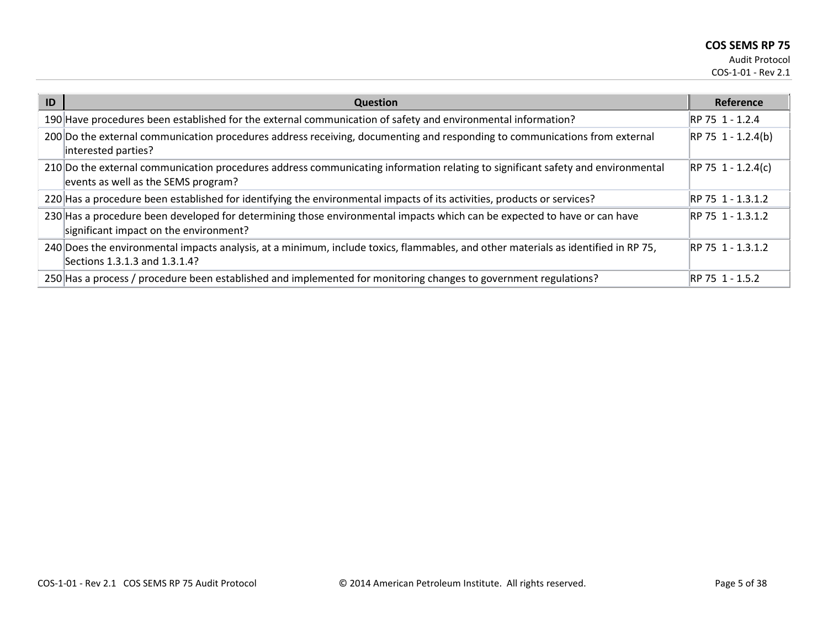| ID | <b>Question</b>                                                                                                                                                        | Reference            |
|----|------------------------------------------------------------------------------------------------------------------------------------------------------------------------|----------------------|
|    | 190 Have procedures been established for the external communication of safety and environmental information?                                                           | RP 75 1 - 1.2.4      |
|    | 200 Do the external communication procedures address receiving, documenting and responding to communications from external<br>interested parties?                      | $RP 75 1 - 1.2.4(b)$ |
|    | 210 Do the external communication procedures address communicating information relating to significant safety and environmental<br>events as well as the SEMS program? | $RP 75 1 - 1.2.4(c)$ |
|    | 220 Has a procedure been established for identifying the environmental impacts of its activities, products or services?                                                | RP 75 1 - 1.3.1.2    |
|    | 230 Has a procedure been developed for determining those environmental impacts which can be expected to have or can have<br>significant impact on the environment?     | RP 75 1 - 1.3.1.2    |
|    | 240 Does the environmental impacts analysis, at a minimum, include toxics, flammables, and other materials as identified in RP 75,<br>Sections 1.3.1.3 and 1.3.1.4?    | RP 75 1 - 1.3.1.2    |
|    | 250 Has a process / procedure been established and implemented for monitoring changes to government regulations?                                                       | RP 75 1 - 1.5.2      |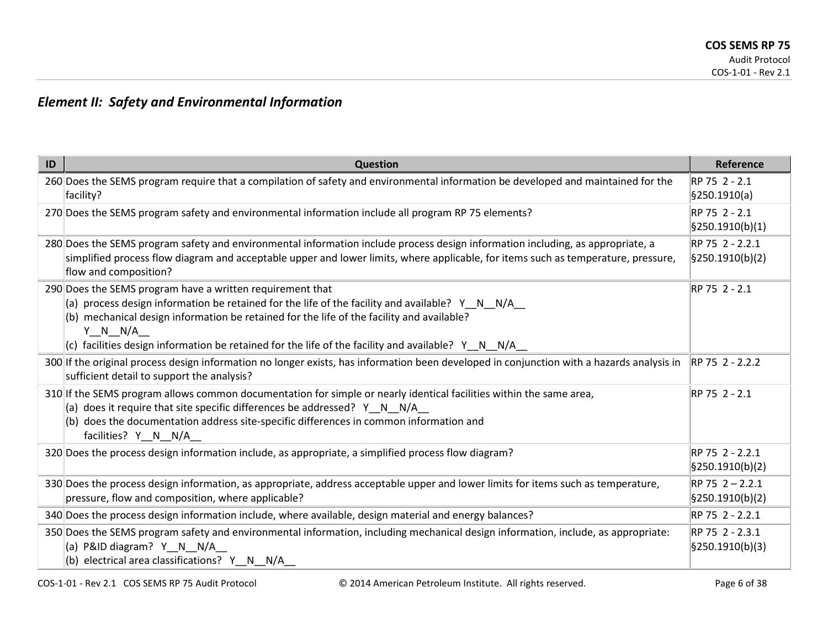## *Element II: Safety and Environmental Information*

| ID | <b>Question</b>                                                                                                                                                                                                                                                                                                                                                                                   | Reference                                         |
|----|---------------------------------------------------------------------------------------------------------------------------------------------------------------------------------------------------------------------------------------------------------------------------------------------------------------------------------------------------------------------------------------------------|---------------------------------------------------|
|    | 260 Does the SEMS program require that a compilation of safety and environmental information be developed and maintained for the<br>facility?                                                                                                                                                                                                                                                     | RP 75 2 - 2.1<br>§250.1910(a)                     |
|    | 270 Does the SEMS program safety and environmental information include all program RP 75 elements?                                                                                                                                                                                                                                                                                                | RP 75 2 - 2.1<br>$\frac{5250.1910(b)(1)}{2}$      |
|    | 280 Does the SEMS program safety and environmental information include process design information including, as appropriate, a<br>simplified process flow diagram and acceptable upper and lower limits, where applicable, for items such as temperature, pressure,<br>flow and composition?                                                                                                      | RP 75 2 - 2.2.1<br>$\frac{5250.1910(b)}{2}$       |
|    | 290 Does the SEMS program have a written requirement that<br>(a) process design information be retained for the life of the facility and available? $Y \cap N$ $N/A$<br>(b) mechanical design information be retained for the life of the facility and available?<br>$Y \quad N \quad N/A$<br>$ c $ facilities design information be retained for the life of the facility and available? Y N N/A | RP 75 2 - 2.1                                     |
|    | 300 If the original process design information no longer exists, has information been developed in conjunction with a hazards analysis in<br>sufficient detail to support the analysis?                                                                                                                                                                                                           | RP 75 2 - 2.2.2                                   |
|    | 310 If the SEMS program allows common documentation for simple or nearly identical facilities within the same area,<br>(a) does it require that site specific differences be addressed? $Y \cap N$ N/A<br>(b) does the documentation address site-specific differences in common information and<br>facilities? Y N N/A                                                                           | RP 75 2 - 2.1                                     |
|    | 320 Does the process design information include, as appropriate, a simplified process flow diagram?                                                                                                                                                                                                                                                                                               | RP 75 2 - 2.2.1<br>$\frac{5250.1910(b)}{2}$       |
|    | 330 Does the process design information, as appropriate, address acceptable upper and lower limits for items such as temperature,<br>pressure, flow and composition, where applicable?                                                                                                                                                                                                            | RP 75 2 - 2.2.1<br>$\frac{1}{2}$ [§250.1910(b)(2) |
|    | 340 Does the process design information include, where available, design material and energy balances?                                                                                                                                                                                                                                                                                            | RP 75 2 - 2.2.1                                   |
|    | 350 Does the SEMS program safety and environmental information, including mechanical design information, include, as appropriate:<br>(a) P&ID diagram? Y N N/A<br>electrical area classifications? Y_N_N/A_                                                                                                                                                                                       | RP 75 2 - 2.3.1<br>$\frac{1}{2}$ [§250.1910(b)(3) |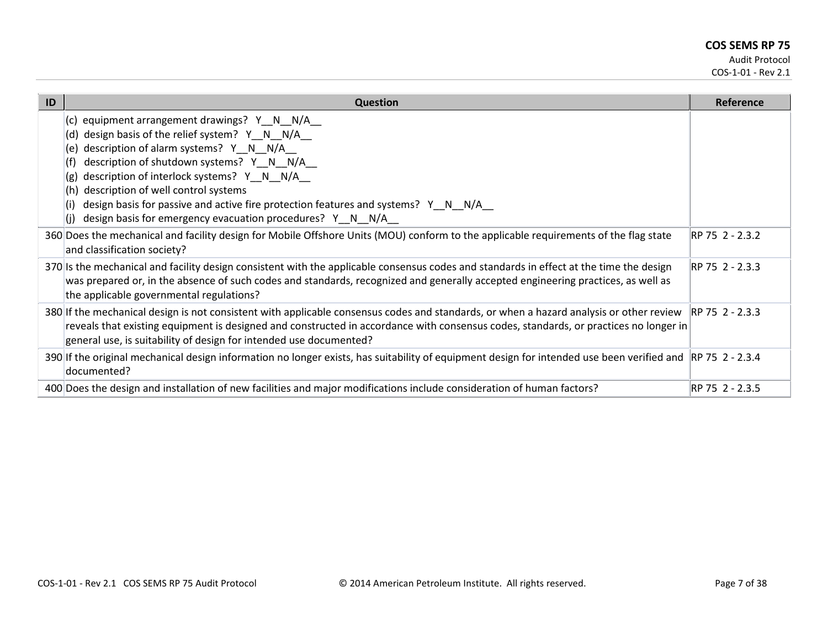| ID | <b>Question</b>                                                                                                                                                                                                                                                                                                                                                                                                                                                              | <b>Reference</b> |
|----|------------------------------------------------------------------------------------------------------------------------------------------------------------------------------------------------------------------------------------------------------------------------------------------------------------------------------------------------------------------------------------------------------------------------------------------------------------------------------|------------------|
|    | (c) equipment arrangement drawings? Y N N/A<br>design basis of the relief system? Y_N_N/A_<br>(d)<br>description of alarm systems? Y_N_N/A_<br>(e)<br>description of shutdown systems? Y_N_N/A_<br>(† )<br>description of interlock systems? Y_N_N/A_<br>(g)<br>description of well control systems<br>(h)<br>design basis for passive and active fire protection features and systems? Y_N_N/A_<br>(i)<br>design basis for emergency evacuation procedures? Y N N/A<br>l(i) |                  |
|    | 360 Does the mechanical and facility design for Mobile Offshore Units (MOU) conform to the applicable requirements of the flag state<br>and classification society?                                                                                                                                                                                                                                                                                                          | RP 75 2 - 2.3.2  |
|    | 370 Is the mechanical and facility design consistent with the applicable consensus codes and standards in effect at the time the design<br>was prepared or, in the absence of such codes and standards, recognized and generally accepted engineering practices, as well as<br>the applicable governmental regulations?                                                                                                                                                      | IRP 75 2 - 2.3.3 |
|    | 380 If the mechanical design is not consistent with applicable consensus codes and standards, or when a hazard analysis or other review RP 75 2 - 2.3.3<br>reveals that existing equipment is designed and constructed in accordance with consensus codes, standards, or practices no longer in<br>general use, is suitability of design for intended use documented?                                                                                                        |                  |
|    | 390 If the original mechanical design information no longer exists, has suitability of equipment design for intended use been verified and  RP 75 2 - 2.3.4<br>documented?                                                                                                                                                                                                                                                                                                   |                  |
|    | 400 Does the design and installation of new facilities and major modifications include consideration of human factors?                                                                                                                                                                                                                                                                                                                                                       | RP 75 2 - 2.3.5  |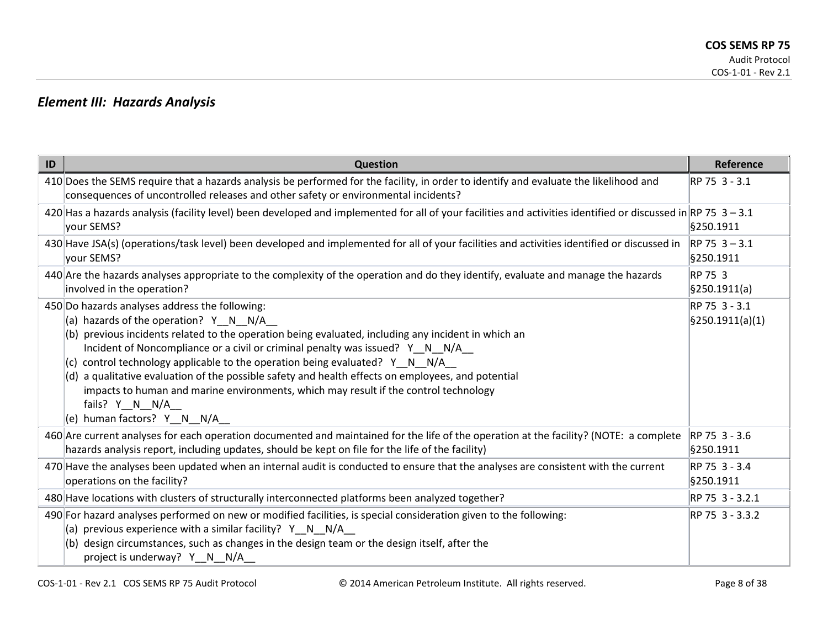### *Element III: Hazards Analysis*

| ID | Question                                                                                                                                                                                                                                                                                                                                                                                                                                                                                                                                                                                                      | Reference                                      |
|----|---------------------------------------------------------------------------------------------------------------------------------------------------------------------------------------------------------------------------------------------------------------------------------------------------------------------------------------------------------------------------------------------------------------------------------------------------------------------------------------------------------------------------------------------------------------------------------------------------------------|------------------------------------------------|
|    | 410 Does the SEMS require that a hazards analysis be performed for the facility, in order to identify and evaluate the likelihood and<br>consequences of uncontrolled releases and other safety or environmental incidents?                                                                                                                                                                                                                                                                                                                                                                                   | RP 75 3 - 3.1                                  |
|    | 420 Has a hazards analysis (facility level) been developed and implemented for all of your facilities and activities identified or discussed in RP 75 3 - 3.1<br>your SEMS?                                                                                                                                                                                                                                                                                                                                                                                                                                   | \$250.1911                                     |
|    | 430 Have JSA(s) (operations/task level) been developed and implemented for all of your facilities and activities identified or discussed in<br>your SEMS?                                                                                                                                                                                                                                                                                                                                                                                                                                                     | $RP$ 75 3 - 3.1<br>\$250.1911                  |
|    | 440 Are the hazards analyses appropriate to the complexity of the operation and do they identify, evaluate and manage the hazards<br>involved in the operation?                                                                                                                                                                                                                                                                                                                                                                                                                                               | RP 75 3<br>$\frac{1}{2}$ \$250.1911(a)         |
|    | 450 Do hazards analyses address the following:<br>(a) hazards of the operation? Y_N_N/A_<br>(b) previous incidents related to the operation being evaluated, including any incident in which an<br>Incident of Noncompliance or a civil or criminal penalty was issued? Y_N_N/A_<br>control technology applicable to the operation being evaluated? $Y \tN N/A$<br>(d) a qualitative evaluation of the possible safety and health effects on employees, and potential<br>impacts to human and marine environments, which may result if the control technology<br>fails? Y N N/A<br>(e) human factors? Y N N/A | RP 75 3 - 3.1<br>$\frac{1}{2}$ 9250.1911(a)(1) |
|    | 460 Are current analyses for each operation documented and maintained for the life of the operation at the facility? (NOTE: a complete<br>hazards analysis report, including updates, should be kept on file for the life of the facility)                                                                                                                                                                                                                                                                                                                                                                    | RP 75 3 - 3.6<br>\$250.1911                    |
|    | 470 Have the analyses been updated when an internal audit is conducted to ensure that the analyses are consistent with the current<br>operations on the facility?                                                                                                                                                                                                                                                                                                                                                                                                                                             | RP 75 3 - 3.4<br>\$250.1911                    |
|    | 480 Have locations with clusters of structurally interconnected platforms been analyzed together?                                                                                                                                                                                                                                                                                                                                                                                                                                                                                                             | RP 75 3 - 3.2.1                                |
|    | 490 For hazard analyses performed on new or modified facilities, is special consideration given to the following:<br>(a) previous experience with a similar facility? $Y \ N \ N/A$<br>(b) design circumstances, such as changes in the design team or the design itself, after the<br>project is underway? Y N N/A                                                                                                                                                                                                                                                                                           | RP 75 3 - 3.3.2                                |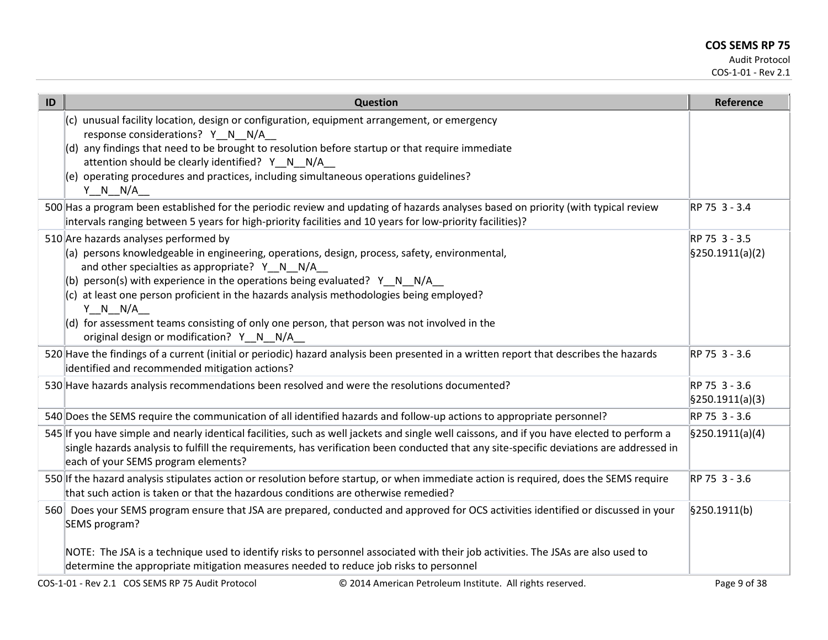| ID | Question                                                                                                                                                                                                                                                                                                                                                                                                                                                                                                                       | <b>Reference</b>                                |
|----|--------------------------------------------------------------------------------------------------------------------------------------------------------------------------------------------------------------------------------------------------------------------------------------------------------------------------------------------------------------------------------------------------------------------------------------------------------------------------------------------------------------------------------|-------------------------------------------------|
|    | (c) unusual facility location, design or configuration, equipment arrangement, or emergency<br>response considerations? Y N N/A                                                                                                                                                                                                                                                                                                                                                                                                |                                                 |
|    | (d) any findings that need to be brought to resolution before startup or that require immediate<br>attention should be clearly identified? Y_N_N/A_                                                                                                                                                                                                                                                                                                                                                                            |                                                 |
|    | (e) operating procedures and practices, including simultaneous operations guidelines?<br>$Y_N_N_N/A$                                                                                                                                                                                                                                                                                                                                                                                                                           |                                                 |
|    | 500 Has a program been established for the periodic review and updating of hazards analyses based on priority (with typical review<br>intervals ranging between 5 years for high-priority facilities and 10 years for low-priority facilities)?                                                                                                                                                                                                                                                                                | RP 75 3 - 3.4                                   |
|    | 510 Are hazards analyses performed by<br>(a) persons knowledgeable in engineering, operations, design, process, safety, environmental,<br>and other specialties as appropriate? Y_N_N/A_<br>(b) person(s) with experience in the operations being evaluated? Y_N_N/A_<br>(c) at least one person proficient in the hazards analysis methodologies being employed?<br>$Y \tN N/A$<br>$(d)$ for assessment teams consisting of only one person, that person was not involved in the<br>original design or modification? Y_N_N/A_ | RP 75 3 - 3.5<br>$\frac{1}{2}$ [§250.1911(a)(2) |
|    | 520 Have the findings of a current (initial or periodic) hazard analysis been presented in a written report that describes the hazards<br>identified and recommended mitigation actions?                                                                                                                                                                                                                                                                                                                                       | RP 75 3 - 3.6                                   |
|    | 530 Have hazards analysis recommendations been resolved and were the resolutions documented?                                                                                                                                                                                                                                                                                                                                                                                                                                   | RP 75 3 - 3.6<br>\$250.1911(a)(3)               |
|    | 540 Does the SEMS require the communication of all identified hazards and follow-up actions to appropriate personnel?                                                                                                                                                                                                                                                                                                                                                                                                          | RP 75 3 - 3.6                                   |
|    | 545 If you have simple and nearly identical facilities, such as well jackets and single well caissons, and if you have elected to perform a<br>single hazards analysis to fulfill the requirements, has verification been conducted that any site-specific deviations are addressed in<br>each of your SEMS program elements?                                                                                                                                                                                                  | $\frac{1}{2}$ [\$250.1911(a)(4)                 |
|    | 550 If the hazard analysis stipulates action or resolution before startup, or when immediate action is required, does the SEMS require<br>that such action is taken or that the hazardous conditions are otherwise remedied?                                                                                                                                                                                                                                                                                                   | RP 75 3 - 3.6                                   |
|    | 560 Does your SEMS program ensure that JSA are prepared, conducted and approved for OCS activities identified or discussed in your<br>SEMS program?                                                                                                                                                                                                                                                                                                                                                                            | $\frac{1}{2}$ 9250.1911(b)                      |
|    | NOTE: The JSA is a technique used to identify risks to personnel associated with their job activities. The JSAs are also used to<br>determine the appropriate mitigation measures needed to reduce job risks to personnel                                                                                                                                                                                                                                                                                                      |                                                 |
|    | COS-1-01 - Rev 2.1 COS SEMS RP 75 Audit Protocol<br>© 2014 American Petroleum Institute. All rights reserved.                                                                                                                                                                                                                                                                                                                                                                                                                  | Page 9 of 38                                    |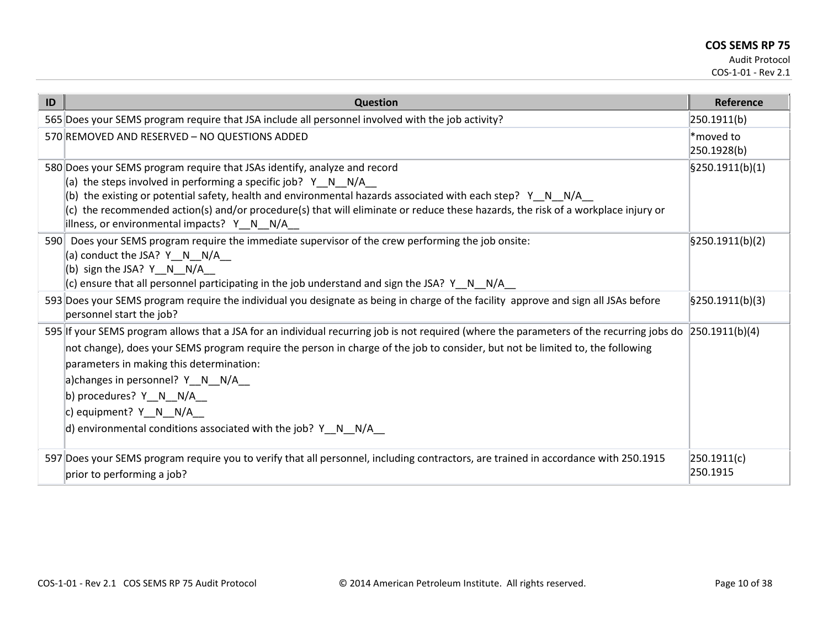| ID  | <b>Question</b>                                                                                                                                                                                                                                                                                                                                                                                                                                                                                         | Reference                |
|-----|---------------------------------------------------------------------------------------------------------------------------------------------------------------------------------------------------------------------------------------------------------------------------------------------------------------------------------------------------------------------------------------------------------------------------------------------------------------------------------------------------------|--------------------------|
|     | 565 Does your SEMS program require that JSA include all personnel involved with the job activity?                                                                                                                                                                                                                                                                                                                                                                                                       | 250.1911(b)              |
|     | 570 REMOVED AND RESERVED - NO QUESTIONS ADDED                                                                                                                                                                                                                                                                                                                                                                                                                                                           | *moved to<br>250.1928(b) |
|     | 580 Does your SEMS program require that JSAs identify, analyze and record<br>(a) the steps involved in performing a specific job? $Y \ N \ N/A$<br>(b) the existing or potential safety, health and environmental hazards associated with each step? Y N N/A<br>(c) the recommended action(s) and/or procedure(s) that will eliminate or reduce these hazards, the risk of a workplace injury or<br>illness, or environmental impacts? Y_N_N/A_                                                         | \$250.1911(b)(1)         |
| 590 | Does your SEMS program require the immediate supervisor of the crew performing the job onsite:<br>(a) conduct the JSA? Y N N/A<br>(b) sign the JSA? $Y \quad N \quad N/A$<br>(c) ensure that all personnel participating in the job understand and sign the JSA? $Y \cap N$ N/A                                                                                                                                                                                                                         | \$250.1911(b)(2)         |
|     | 593 Does your SEMS program require the individual you designate as being in charge of the facility approve and sign all JSAs before<br>personnel start the job?                                                                                                                                                                                                                                                                                                                                         | \$250.1911(b)(3)         |
|     | 595 If your SEMS program allows that a JSA for an individual recurring job is not required (where the parameters of the recurring jobs do 250.1911(b)(4)<br>not change), does your SEMS program require the person in charge of the job to consider, but not be limited to, the following<br>parameters in making this determination:<br>a)changes in personnel? Y N N/A<br>b) procedures? $Y_N_N/N_A$<br>c) equipment? $Y_N N/A$<br>d) environmental conditions associated with the job? $Y \ N \ N/A$ |                          |
|     | 597 Does your SEMS program require you to verify that all personnel, including contractors, are trained in accordance with 250.1915<br>prior to performing a job?                                                                                                                                                                                                                                                                                                                                       | 250.1911(c) <br>250.1915 |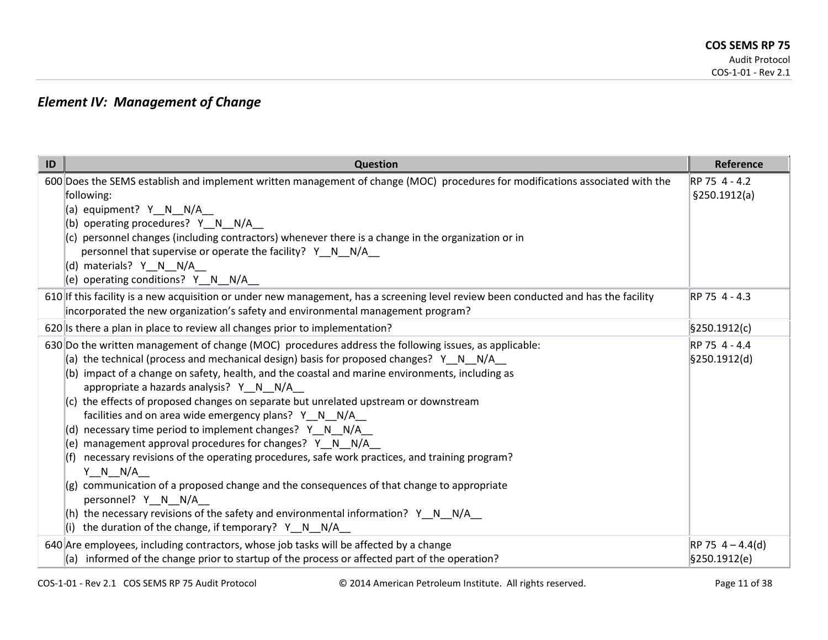## *Element IV: Management of Change*

| ID | Question                                                                                                                                                | Reference          |
|----|---------------------------------------------------------------------------------------------------------------------------------------------------------|--------------------|
|    | 600 Does the SEMS establish and implement written management of change (MOC) procedures for modifications associated with the                           | RP 75 4 - 4.2      |
|    | following:                                                                                                                                              | \$250.1912(a)      |
|    | (a) equipment? Y N N/A                                                                                                                                  |                    |
|    | (b) operating procedures? $Y \cap N$ N/A                                                                                                                |                    |
|    | $(c)$ personnel changes (including contractors) whenever there is a change in the organization or in                                                    |                    |
|    | personnel that supervise or operate the facility? Y N N/A                                                                                               |                    |
|    | (d) materials? Y N N/A                                                                                                                                  |                    |
|    | (e) operating conditions? $Y \cap N / A$                                                                                                                |                    |
|    | 610 If this facility is a new acquisition or under new management, has a screening level review been conducted and has the facility                     | RP 75 4 - 4.3      |
|    | incorporated the new organization's safety and environmental management program?                                                                        |                    |
|    | 620 Is there a plan in place to review all changes prior to implementation?                                                                             | \$250.1912(c)      |
|    | 630 Do the written management of change (MOC) procedures address the following issues, as applicable:                                                   | RP 75 4 - 4.4      |
|    | (a) the technical (process and mechanical design) basis for proposed changes? $Y \cap N$ N/A                                                            | §250.1912(d)       |
|    | (b) impact of a change on safety, health, and the coastal and marine environments, including as                                                         |                    |
|    | appropriate a hazards analysis? Y N N/A                                                                                                                 |                    |
|    | $(c)$ the effects of proposed changes on separate but unrelated upstream or downstream                                                                  |                    |
|    | facilities and on area wide emergency plans? Y_N_N/A_                                                                                                   |                    |
|    | (d) necessary time period to implement changes? $Y \cap N$ $N/A$                                                                                        |                    |
|    | (e) management approval procedures for changes? Y_N_N/A_<br>necessary revisions of the operating procedures, safe work practices, and training program? |                    |
|    | (t)<br>Y N N/A                                                                                                                                          |                    |
|    | $(g)$ communication of a proposed change and the consequences of that change to appropriate                                                             |                    |
|    | personnel? Y_N_N/A_                                                                                                                                     |                    |
|    | (h) the necessary revisions of the safety and environmental information? $Y \t N N/4$                                                                   |                    |
|    | (i) the duration of the change, if temporary? Y_N_N/A_                                                                                                  |                    |
|    | 640 Are employees, including contractors, whose job tasks will be affected by a change                                                                  | $RP 75 4 - 4.4(d)$ |
|    | (a) informed of the change prior to startup of the process or affected part of the operation?                                                           | §250.1912(e)       |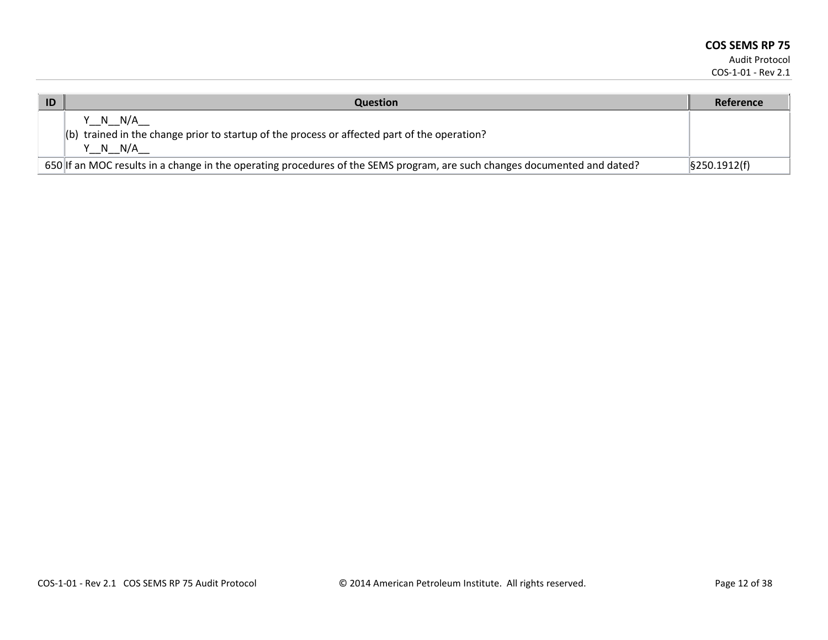| ID | <b>Question</b>                                                                                                           | Reference                   |
|----|---------------------------------------------------------------------------------------------------------------------------|-----------------------------|
|    | Y N N/A<br>(b) trained in the change prior to startup of the process or affected part of the operation?<br>Y N N/A        |                             |
|    | 650 If an MOC results in a change in the operating procedures of the SEMS program, are such changes documented and dated? | $\frac{1}{2}$ \$250.1912(f) |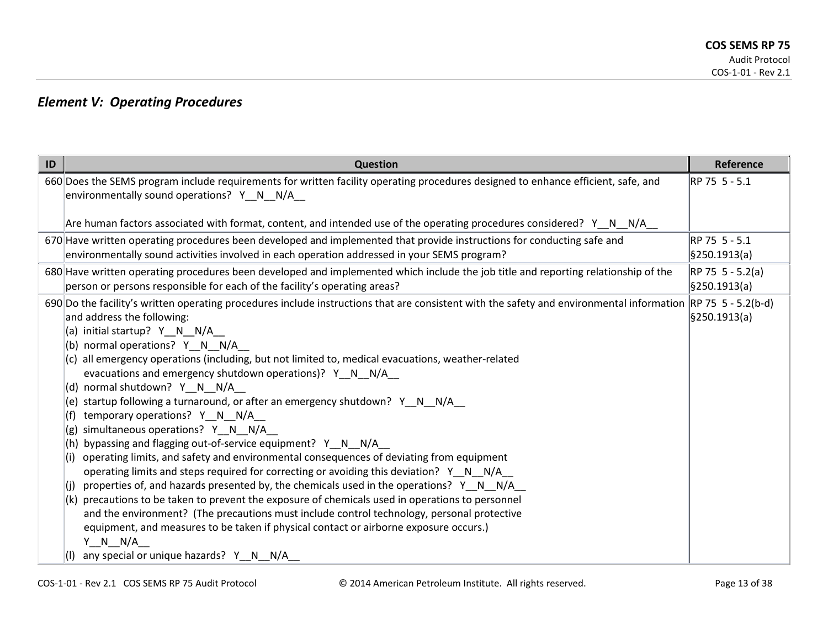## *Element V: Operating Procedures*

| 660 Does the SEMS program include requirements for written facility operating procedures designed to enhance efficient, safe, and<br>RP 75 5 - 5.1<br>environmentally sound operations? Y N N/A<br>Are human factors associated with format, content, and intended use of the operating procedures considered? Y N N/A<br>670 Have written operating procedures been developed and implemented that provide instructions for conducting safe and<br>RP 75 5 - 5.1<br>environmentally sound activities involved in each operation addressed in your SEMS program?<br>§250.1913(a)<br>680 Have written operating procedures been developed and implemented which include the job title and reporting relationship of the<br>$RP 75 5 - 5.2(a)$<br>person or persons responsible for each of the facility's operating areas?<br>§250.1913(a)<br>690 Do the facility's written operating procedures include instructions that are consistent with the safety and environmental information RP 75 5 - 5.2(b-d)<br>and address the following:<br>§250.1913(a)<br>(a) initial startup? Y N N/A<br>(b) normal operations? Y_N_N/A_<br>(c) all emergency operations (including, but not limited to, medical evacuations, weather-related<br>evacuations and emergency shutdown operations)? Y_N_N/A_<br>(d) normal shutdown? Y N N/A<br>startup following a turnaround, or after an emergency shutdown? Y_N_N/A_<br>(e)<br>temporary operations? Y N N/A<br>simultaneous operations? Y N N/A<br>(g)<br>bypassing and flagging out-of-service equipment? Y_N_N/A_<br>operating limits, and safety and environmental consequences of deviating from equipment<br>(i)<br>operating limits and steps required for correcting or avoiding this deviation? Y_N_N/A_<br>properties of, and hazards presented by, the chemicals used in the operations? $Y \cap N$ N/A<br>(i)<br>(k) precautions to be taken to prevent the exposure of chemicals used in operations to personnel<br>and the environment? (The precautions must include control technology, personal protective<br>equipment, and measures to be taken if physical contact or airborne exposure occurs.) | ID | <b>Question</b> | Reference |
|---------------------------------------------------------------------------------------------------------------------------------------------------------------------------------------------------------------------------------------------------------------------------------------------------------------------------------------------------------------------------------------------------------------------------------------------------------------------------------------------------------------------------------------------------------------------------------------------------------------------------------------------------------------------------------------------------------------------------------------------------------------------------------------------------------------------------------------------------------------------------------------------------------------------------------------------------------------------------------------------------------------------------------------------------------------------------------------------------------------------------------------------------------------------------------------------------------------------------------------------------------------------------------------------------------------------------------------------------------------------------------------------------------------------------------------------------------------------------------------------------------------------------------------------------------------------------------------------------------------------------------------------------------------------------------------------------------------------------------------------------------------------------------------------------------------------------------------------------------------------------------------------------------------------------------------------------------------------------------------------------------------------------------------------------------------------------------------------------------------------------------------------------------|----|-----------------|-----------|
|                                                                                                                                                                                                                                                                                                                                                                                                                                                                                                                                                                                                                                                                                                                                                                                                                                                                                                                                                                                                                                                                                                                                                                                                                                                                                                                                                                                                                                                                                                                                                                                                                                                                                                                                                                                                                                                                                                                                                                                                                                                                                                                                                         |    |                 |           |
|                                                                                                                                                                                                                                                                                                                                                                                                                                                                                                                                                                                                                                                                                                                                                                                                                                                                                                                                                                                                                                                                                                                                                                                                                                                                                                                                                                                                                                                                                                                                                                                                                                                                                                                                                                                                                                                                                                                                                                                                                                                                                                                                                         |    |                 |           |
|                                                                                                                                                                                                                                                                                                                                                                                                                                                                                                                                                                                                                                                                                                                                                                                                                                                                                                                                                                                                                                                                                                                                                                                                                                                                                                                                                                                                                                                                                                                                                                                                                                                                                                                                                                                                                                                                                                                                                                                                                                                                                                                                                         |    |                 |           |
|                                                                                                                                                                                                                                                                                                                                                                                                                                                                                                                                                                                                                                                                                                                                                                                                                                                                                                                                                                                                                                                                                                                                                                                                                                                                                                                                                                                                                                                                                                                                                                                                                                                                                                                                                                                                                                                                                                                                                                                                                                                                                                                                                         |    |                 |           |
| Y N N/A<br>any special or unique hazards? Y_N_N/A_                                                                                                                                                                                                                                                                                                                                                                                                                                                                                                                                                                                                                                                                                                                                                                                                                                                                                                                                                                                                                                                                                                                                                                                                                                                                                                                                                                                                                                                                                                                                                                                                                                                                                                                                                                                                                                                                                                                                                                                                                                                                                                      |    |                 |           |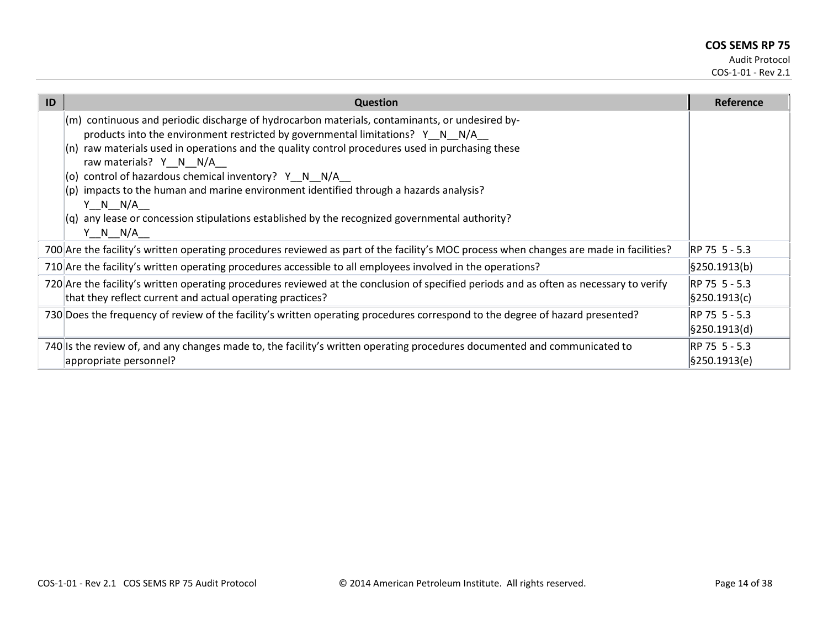| ID | <b>Question</b>                                                                                                                                                                                                                                                                                                                                                                                                                                                                                                                                                                                             | Reference                     |
|----|-------------------------------------------------------------------------------------------------------------------------------------------------------------------------------------------------------------------------------------------------------------------------------------------------------------------------------------------------------------------------------------------------------------------------------------------------------------------------------------------------------------------------------------------------------------------------------------------------------------|-------------------------------|
|    | (m) continuous and periodic discharge of hydrocarbon materials, contaminants, or undesired by-<br>products into the environment restricted by governmental limitations? $Y \cap N$ N/A<br>$(n)$ raw materials used in operations and the quality control procedures used in purchasing these<br>raw materials? Y N N/A<br>(o) control of hazardous chemical inventory? Y_N_N/A_<br>(p) impacts to the human and marine environment identified through a hazards analysis?<br>$Y \tN N/A$<br>$(q)$ any lease or concession stipulations established by the recognized governmental authority?<br>$Y \tN N/A$ |                               |
|    | 700 Are the facility's written operating procedures reviewed as part of the facility's MOC process when changes are made in facilities?                                                                                                                                                                                                                                                                                                                                                                                                                                                                     | RP 75 5 - 5.3                 |
|    | 710 Are the facility's written operating procedures accessible to all employees involved in the operations?                                                                                                                                                                                                                                                                                                                                                                                                                                                                                                 | §250.1913(b)                  |
|    | 720 Are the facility's written operating procedures reviewed at the conclusion of specified periods and as often as necessary to verify<br>that they reflect current and actual operating practices?                                                                                                                                                                                                                                                                                                                                                                                                        | RP 75 5 - 5.3<br>§250.1913(c) |
|    | 730 Does the frequency of review of the facility's written operating procedures correspond to the degree of hazard presented?                                                                                                                                                                                                                                                                                                                                                                                                                                                                               | RP 75 5 - 5.3<br>§250.1913(d) |
|    | 740 Is the review of, and any changes made to, the facility's written operating procedures documented and communicated to<br>appropriate personnel?                                                                                                                                                                                                                                                                                                                                                                                                                                                         | RP 75 5 - 5.3<br>§250.1913(e) |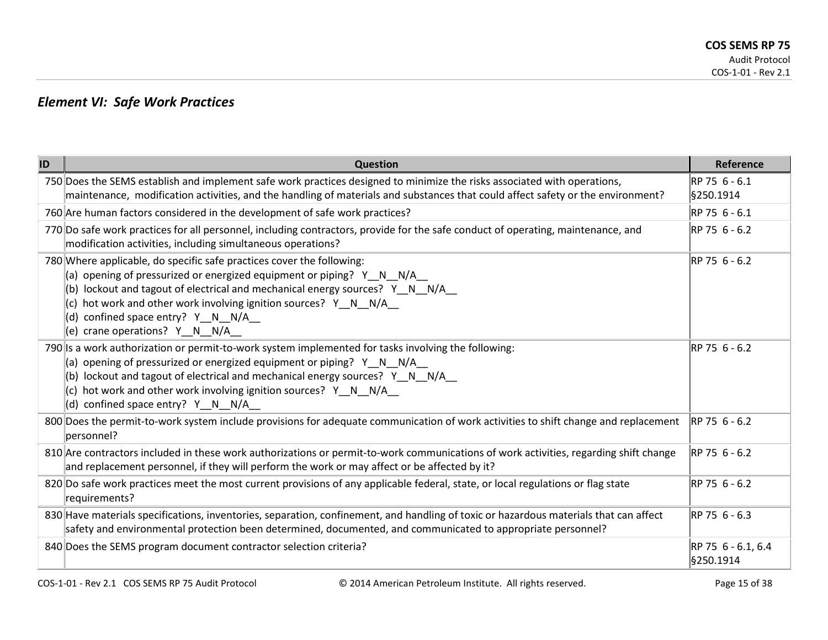## *Element VI: Safe Work Practices*

| ID | <b>Question</b>                                                                                                                                                                                                                                                                                                                                                               | Reference                       |
|----|-------------------------------------------------------------------------------------------------------------------------------------------------------------------------------------------------------------------------------------------------------------------------------------------------------------------------------------------------------------------------------|---------------------------------|
|    | 750 Does the SEMS establish and implement safe work practices designed to minimize the risks associated with operations,<br>maintenance, modification activities, and the handling of materials and substances that could affect safety or the environment?                                                                                                                   | RP 75 6 - 6.1<br>§250.1914      |
|    | 760 Are human factors considered in the development of safe work practices?                                                                                                                                                                                                                                                                                                   | RP 75 6 - 6.1                   |
|    | 770 Do safe work practices for all personnel, including contractors, provide for the safe conduct of operating, maintenance, and<br>modification activities, including simultaneous operations?                                                                                                                                                                               | RP 75 6 - 6.2                   |
|    | 780 Where applicable, do specific safe practices cover the following:<br>(a) opening of pressurized or energized equipment or piping? Y N N/A<br>(b) lockout and tagout of electrical and mechanical energy sources? Y_N_N/A_<br>(c) hot work and other work involving ignition sources? Y_N_N/A_<br>(d) confined space entry? Y_N_N/A_<br>(e) crane operations? Y_N_N/A_     | RP 75 6 - 6.2                   |
|    | 790 Is a work authorization or permit-to-work system implemented for tasks involving the following:<br>(a) opening of pressurized or energized equipment or piping? $Y \ N$ N/A<br>(b) lockout and tagout of electrical and mechanical energy sources? Y_N_N/A_<br>hot work and other work involving ignition sources? Y_N_N/A_<br>(c).<br>(d) confined space entry? Y_N_N/A_ | RP 75 6 - 6.2                   |
|    | 800 Does the permit-to-work system include provisions for adequate communication of work activities to shift change and replacement<br>personnel?                                                                                                                                                                                                                             | RP 75 6 - 6.2                   |
|    | 810 Are contractors included in these work authorizations or permit-to-work communications of work activities, regarding shift change<br>and replacement personnel, if they will perform the work or may affect or be affected by it?                                                                                                                                         | RP 75 6 - 6.2                   |
|    | 820 Do safe work practices meet the most current provisions of any applicable federal, state, or local regulations or flag state<br>requirements?                                                                                                                                                                                                                             | RP 75 6 - 6.2                   |
|    | 830 Have materials specifications, inventories, separation, confinement, and handling of toxic or hazardous materials that can affect<br>safety and environmental protection been determined, documented, and communicated to appropriate personnel?                                                                                                                          | RP 75 6 - 6.3                   |
|    | 840 Does the SEMS program document contractor selection criteria?                                                                                                                                                                                                                                                                                                             | RP 75 6 - 6.1, 6.4<br>§250.1914 |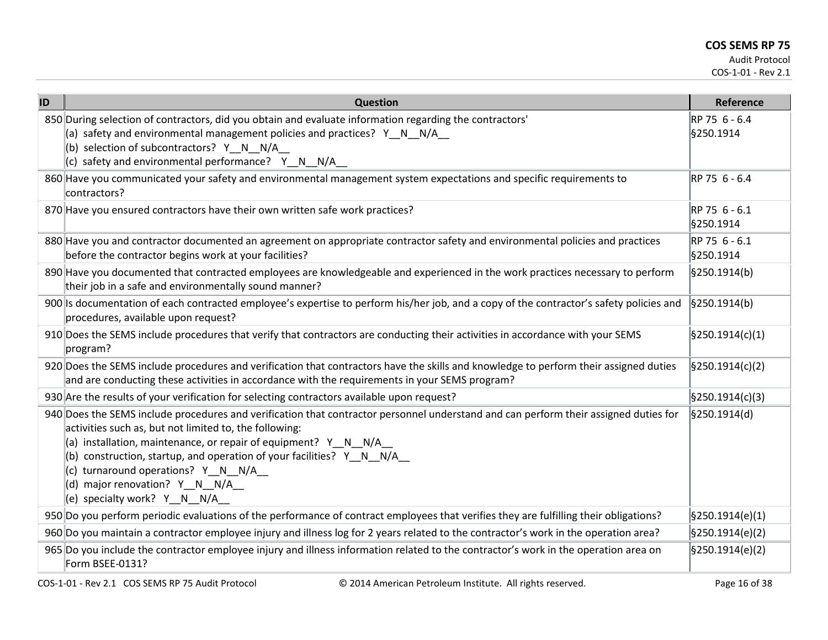| ID | Question                                                                                                                                                                                                                                                                                                                                                                                                                                                  | Reference                      |
|----|-----------------------------------------------------------------------------------------------------------------------------------------------------------------------------------------------------------------------------------------------------------------------------------------------------------------------------------------------------------------------------------------------------------------------------------------------------------|--------------------------------|
|    | 850 During selection of contractors, did you obtain and evaluate information regarding the contractors'<br>(a) safety and environmental management policies and practices? Y_N_N/A_<br>(b) selection of subcontractors? Y_N_N/A_<br>(c) safety and environmental performance? Y_N_N/A_                                                                                                                                                                    | RP 75 6 - 6.4<br>§250.1914     |
|    | 860 Have you communicated your safety and environmental management system expectations and specific requirements to<br>contractors?                                                                                                                                                                                                                                                                                                                       | RP 75 6 - 6.4                  |
|    | 870 Have you ensured contractors have their own written safe work practices?                                                                                                                                                                                                                                                                                                                                                                              | RP 75 6 - 6.1<br>§250.1914     |
|    | 880 Have you and contractor documented an agreement on appropriate contractor safety and environmental policies and practices<br>before the contractor begins work at your facilities?                                                                                                                                                                                                                                                                    | RP 75 6 - 6.1<br>§250.1914     |
|    | 890 Have you documented that contracted employees are knowledgeable and experienced in the work practices necessary to perform<br>their job in a safe and environmentally sound manner?                                                                                                                                                                                                                                                                   | §250.1914(b)                   |
|    | 900 Is documentation of each contracted employee's expertise to perform his/her job, and a copy of the contractor's safety policies and<br>procedures, available upon request?                                                                                                                                                                                                                                                                            | $\frac{1}{2}$ \$250.1914(b)    |
|    | 910 Does the SEMS include procedures that verify that contractors are conducting their activities in accordance with your SEMS<br>program?                                                                                                                                                                                                                                                                                                                | $\frac{1}{2}$ [§250.1914(c)(1) |
|    | 920 Does the SEMS include procedures and verification that contractors have the skills and knowledge to perform their assigned duties<br>and are conducting these activities in accordance with the requirements in your SEMS program?                                                                                                                                                                                                                    | $\frac{1}{2}$ [§250.1914(c)(2) |
|    | 930 Are the results of your verification for selecting contractors available upon request?                                                                                                                                                                                                                                                                                                                                                                | $\frac{1}{2}$ [§250.1914(c)(3) |
|    | 940 Does the SEMS include procedures and verification that contractor personnel understand and can perform their assigned duties for<br>activities such as, but not limited to, the following:<br>(a) installation, maintenance, or repair of equipment? $Y_N = N - N/A$<br>(b) construction, startup, and operation of your facilities? Y_N_N/A_<br>(c) turnaround operations? Y N N/A<br>(d) major renovation? Y_N_N/A_<br>(e) specialty work? Y_N_N/A_ | §250.1914(d)                   |
|    | 950 Do you perform periodic evaluations of the performance of contract employees that verifies they are fulfilling their obligations?                                                                                                                                                                                                                                                                                                                     | $\frac{1}{2}$ [§250.1914(e)(1) |
|    | 960 Do you maintain a contractor employee injury and illness log for 2 years related to the contractor's work in the operation area?                                                                                                                                                                                                                                                                                                                      | $\frac{1}{2}$ [§250.1914(e)(2) |
|    | 965 Do you include the contractor employee injury and illness information related to the contractor's work in the operation area on<br>Form BSEE-0131?                                                                                                                                                                                                                                                                                                    | $\frac{1}{2}$ [§250.1914(e)(2) |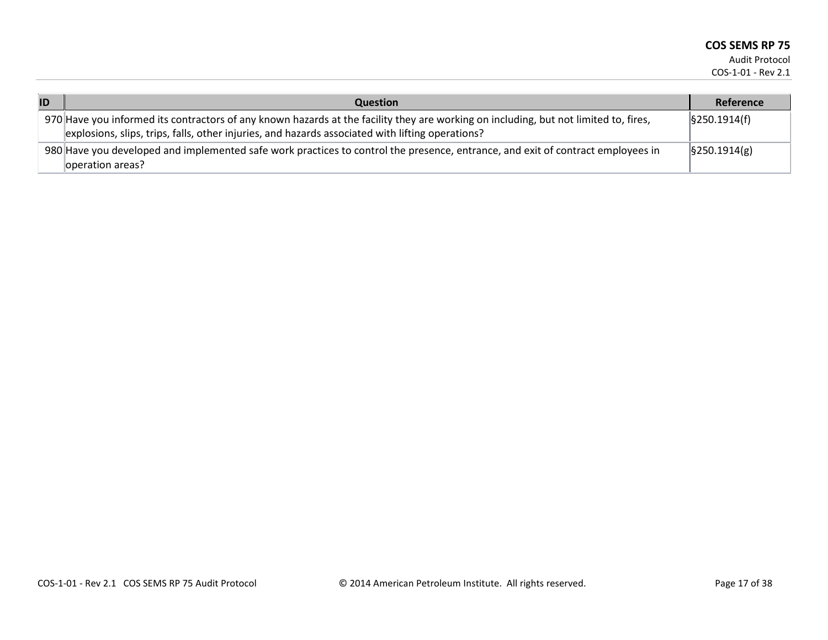| ID | <b>Question</b>                                                                                                                                                                                                                          | Reference                   |
|----|------------------------------------------------------------------------------------------------------------------------------------------------------------------------------------------------------------------------------------------|-----------------------------|
|    | 970 Have you informed its contractors of any known hazards at the facility they are working on including, but not limited to, fires,<br>explosions, slips, trips, falls, other injuries, and hazards associated with lifting operations? | $\frac{1}{2}$ \$250.1914(f) |
|    | 980 Have you developed and implemented safe work practices to control the presence, entrance, and exit of contract employees in<br>operation areas?                                                                                      | $\frac{1}{2}$ \$250.1914(g) |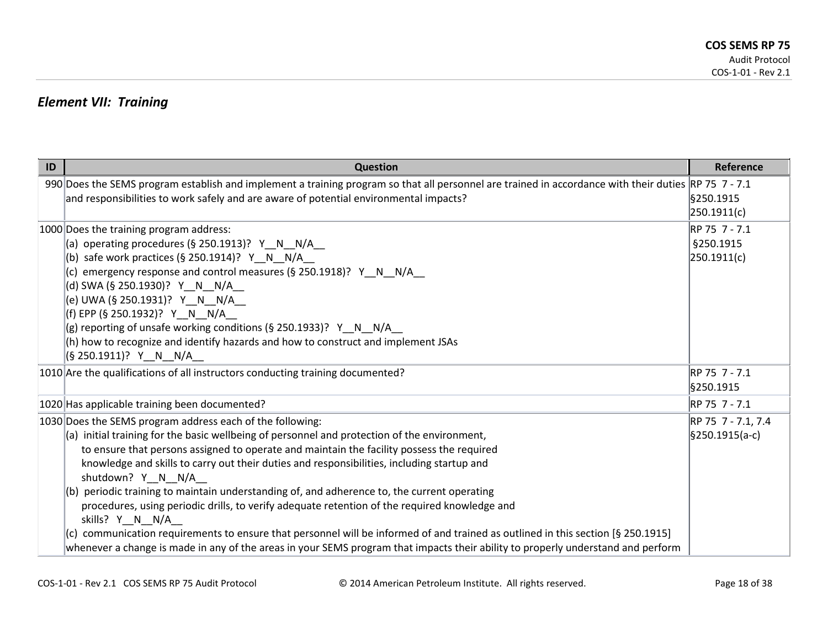### *Element VII: Training*

| ID | <b>Question</b>                                                                                                                                                                                                                                                                                                                                                                                                                                                                                                                                                                                                                                                                                                                                                                                                                                                    | Reference                                 |
|----|--------------------------------------------------------------------------------------------------------------------------------------------------------------------------------------------------------------------------------------------------------------------------------------------------------------------------------------------------------------------------------------------------------------------------------------------------------------------------------------------------------------------------------------------------------------------------------------------------------------------------------------------------------------------------------------------------------------------------------------------------------------------------------------------------------------------------------------------------------------------|-------------------------------------------|
|    | 990 Does the SEMS program establish and implement a training program so that all personnel are trained in accordance with their duties RP 75 7 - 7.1<br>and responsibilities to work safely and are aware of potential environmental impacts?                                                                                                                                                                                                                                                                                                                                                                                                                                                                                                                                                                                                                      | §250.1915<br>250.1911(c)                  |
|    | 1000 Does the training program address:<br>(a) operating procedures (§ 250.1913)? $Y \ N \ N/A$<br>(b) safe work practices (§ 250.1914)? Y_N_N/A_<br>(c) emergency response and control measures (§ 250.1918)? $Y \ N$ N/A<br>(d) SWA (§ 250.1930)? Y__N__N/A__<br>(e) UWA (§ 250.1931)? Y__N__N/A__<br>(f) EPP (§ 250.1932)? Y__N__N/A__<br>(g) reporting of unsafe working conditions (§ 250.1933)? $Y_N N/N_A$<br>(h) how to recognize and identify hazards and how to construct and implement JSAs<br>(§ 250.1911)?   Y__N__N/A__                                                                                                                                                                                                                                                                                                                              | RP 75 7 - 7.1<br>§250.1915<br>250.1911(c) |
|    | 1010 Are the qualifications of all instructors conducting training documented?                                                                                                                                                                                                                                                                                                                                                                                                                                                                                                                                                                                                                                                                                                                                                                                     | RP 75 7 - 7.1<br>§250.1915                |
|    | 1020 Has applicable training been documented?                                                                                                                                                                                                                                                                                                                                                                                                                                                                                                                                                                                                                                                                                                                                                                                                                      | RP 75 7 - 7.1                             |
|    | 1030 Does the SEMS program address each of the following:<br>(a) initial training for the basic wellbeing of personnel and protection of the environment,<br>to ensure that persons assigned to operate and maintain the facility possess the required<br>knowledge and skills to carry out their duties and responsibilities, including startup and<br>shutdown? Y N N/A<br>$(6)$ periodic training to maintain understanding of, and adherence to, the current operating<br>procedures, using periodic drills, to verify adequate retention of the required knowledge and<br>skills? Y N N/A<br>communication requirements to ensure that personnel will be informed of and trained as outlined in this section [§ 250.1915]<br>whenever a change is made in any of the areas in your SEMS program that impacts their ability to properly understand and perform | RP 75 7 - 7.1, 7.4<br>§250.1915(a-c)      |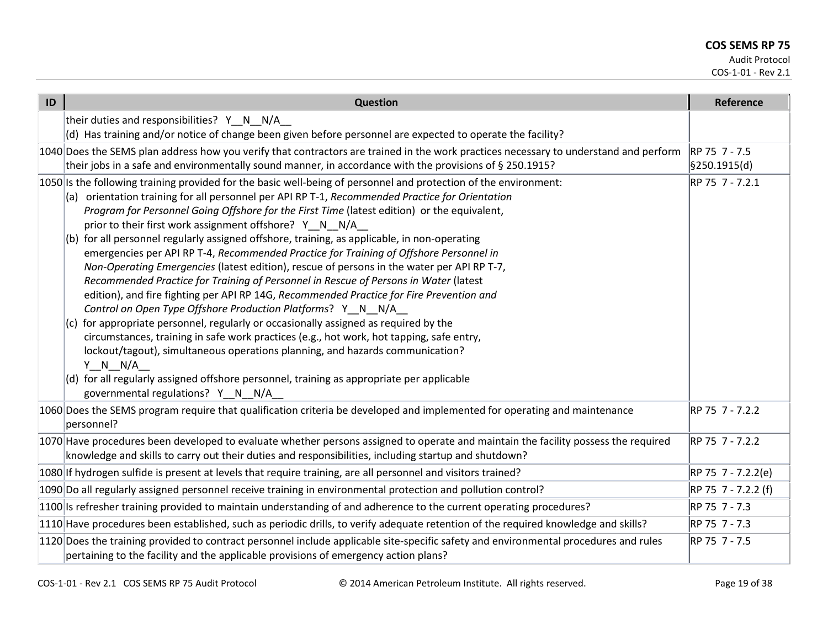Audit Protocol

COS-1-01 - Rev 2.1

| ID | <b>Question</b>                                                                                                                                                                                                                                                                                                                                                                                                                                                                                                                                                                                                                                                                                                                                                                                                                                                                                                                                                                                                                                                                                                                                                                                                                                                                                                                            | Reference                     |
|----|--------------------------------------------------------------------------------------------------------------------------------------------------------------------------------------------------------------------------------------------------------------------------------------------------------------------------------------------------------------------------------------------------------------------------------------------------------------------------------------------------------------------------------------------------------------------------------------------------------------------------------------------------------------------------------------------------------------------------------------------------------------------------------------------------------------------------------------------------------------------------------------------------------------------------------------------------------------------------------------------------------------------------------------------------------------------------------------------------------------------------------------------------------------------------------------------------------------------------------------------------------------------------------------------------------------------------------------------|-------------------------------|
|    | their duties and responsibilities? Y_N_N/A_<br>(d) Has training and/or notice of change been given before personnel are expected to operate the facility?                                                                                                                                                                                                                                                                                                                                                                                                                                                                                                                                                                                                                                                                                                                                                                                                                                                                                                                                                                                                                                                                                                                                                                                  |                               |
|    | 1040 Does the SEMS plan address how you verify that contractors are trained in the work practices necessary to understand and perform<br>their jobs in a safe and environmentally sound manner, in accordance with the provisions of § 250.1915?                                                                                                                                                                                                                                                                                                                                                                                                                                                                                                                                                                                                                                                                                                                                                                                                                                                                                                                                                                                                                                                                                           | RP 75 7 - 7.5<br>§250.1915(d) |
|    | 1050 Is the following training provided for the basic well-being of personnel and protection of the environment:<br>orientation training for all personnel per API RP T-1, Recommended Practice for Orientation<br>Program for Personnel Going Offshore for the First Time (latest edition) or the equivalent,<br>prior to their first work assignment offshore? Y N N/A<br>for all personnel regularly assigned offshore, training, as applicable, in non-operating<br>(b)<br>emergencies per API RP T-4, Recommended Practice for Training of Offshore Personnel in<br>Non-Operating Emergencies (latest edition), rescue of persons in the water per API RP T-7,<br>Recommended Practice for Training of Personnel in Rescue of Persons in Water (latest<br>edition), and fire fighting per API RP 14G, Recommended Practice for Fire Prevention and<br>Control on Open Type Offshore Production Platforms? Y_N_N/A_<br>for appropriate personnel, regularly or occasionally assigned as required by the<br>circumstances, training in safe work practices (e.g., hot work, hot tapping, safe entry,<br>lockout/tagout), simultaneous operations planning, and hazards communication?<br>$Y \tN N/A$<br>(d) for all regularly assigned offshore personnel, training as appropriate per applicable<br>governmental regulations? Y_N_N/A_ | RP 75 7 - 7.2.1               |
|    | 1060 Does the SEMS program require that qualification criteria be developed and implemented for operating and maintenance<br>personnel?                                                                                                                                                                                                                                                                                                                                                                                                                                                                                                                                                                                                                                                                                                                                                                                                                                                                                                                                                                                                                                                                                                                                                                                                    | RP 75 7 - 7.2.2               |
|    | 1070 Have procedures been developed to evaluate whether persons assigned to operate and maintain the facility possess the required<br>knowledge and skills to carry out their duties and responsibilities, including startup and shutdown?                                                                                                                                                                                                                                                                                                                                                                                                                                                                                                                                                                                                                                                                                                                                                                                                                                                                                                                                                                                                                                                                                                 | RP 75 7 - 7.2.2               |
|    | 1080 If hydrogen sulfide is present at levels that require training, are all personnel and visitors trained?                                                                                                                                                                                                                                                                                                                                                                                                                                                                                                                                                                                                                                                                                                                                                                                                                                                                                                                                                                                                                                                                                                                                                                                                                               | RP 75 7 - 7.2.2(e)            |
|    | 1090 Do all regularly assigned personnel receive training in environmental protection and pollution control?                                                                                                                                                                                                                                                                                                                                                                                                                                                                                                                                                                                                                                                                                                                                                                                                                                                                                                                                                                                                                                                                                                                                                                                                                               | RP 75 7 - 7.2.2 (f)           |
|    | 1100 Is refresher training provided to maintain understanding of and adherence to the current operating procedures?                                                                                                                                                                                                                                                                                                                                                                                                                                                                                                                                                                                                                                                                                                                                                                                                                                                                                                                                                                                                                                                                                                                                                                                                                        | RP 75 7 - 7.3                 |
|    | 1110 Have procedures been established, such as periodic drills, to verify adequate retention of the required knowledge and skills?                                                                                                                                                                                                                                                                                                                                                                                                                                                                                                                                                                                                                                                                                                                                                                                                                                                                                                                                                                                                                                                                                                                                                                                                         | RP 75 7 - 7.3                 |
|    | 1120 Does the training provided to contract personnel include applicable site-specific safety and environmental procedures and rules<br>pertaining to the facility and the applicable provisions of emergency action plans?                                                                                                                                                                                                                                                                                                                                                                                                                                                                                                                                                                                                                                                                                                                                                                                                                                                                                                                                                                                                                                                                                                                | RP 75 7 - 7.5                 |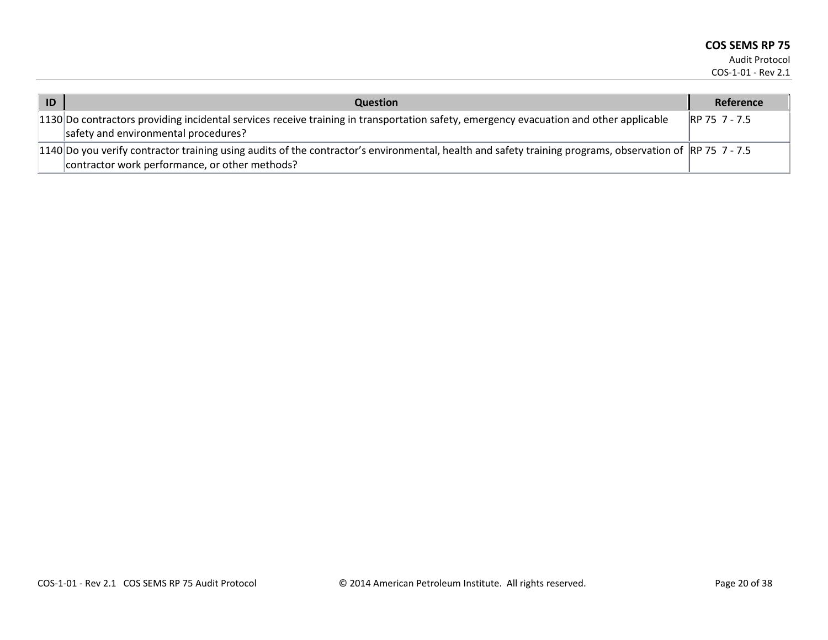| ID | <b>Question</b>                                                                                                                                                                                            | Reference     |
|----|------------------------------------------------------------------------------------------------------------------------------------------------------------------------------------------------------------|---------------|
|    | 1130 Do contractors providing incidental services receive training in transportation safety, emergency evacuation and other applicable<br>safety and environmental procedures?                             | RP 75 7 - 7.5 |
|    | 1140 Do you verify contractor training using audits of the contractor's environmental, health and safety training programs, observation of RP 75 7 - 7.5<br>contractor work performance, or other methods? |               |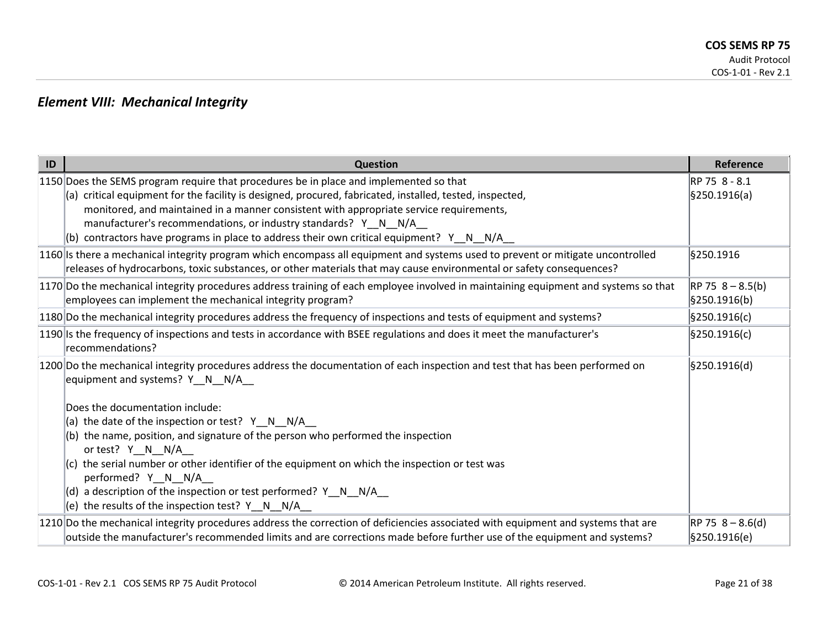### *Element VIII: Mechanical Integrity*

| ID | Question                                                                                                                                                                                                                                                                                                                                                                                                                                                         | Reference                          |
|----|------------------------------------------------------------------------------------------------------------------------------------------------------------------------------------------------------------------------------------------------------------------------------------------------------------------------------------------------------------------------------------------------------------------------------------------------------------------|------------------------------------|
|    | 1150 Does the SEMS program require that procedures be in place and implemented so that<br>(a) critical equipment for the facility is designed, procured, fabricated, installed, tested, inspected,<br>monitored, and maintained in a manner consistent with appropriate service requirements,<br>manufacturer's recommendations, or industry standards? Y_N_N/A_<br>contractors have programs in place to address their own critical equipment? $Y \cap N = N/A$ | RP 75 8 - 8.1<br>§250.1916(a)      |
|    | 1160 Is there a mechanical integrity program which encompass all equipment and systems used to prevent or mitigate uncontrolled<br>releases of hydrocarbons, toxic substances, or other materials that may cause environmental or safety consequences?                                                                                                                                                                                                           | §250.1916                          |
|    | 1170 Do the mechanical integrity procedures address training of each employee involved in maintaining equipment and systems so that<br>employees can implement the mechanical integrity program?                                                                                                                                                                                                                                                                 | $RP 75 8 - 8.5(b)$<br>§250.1916(b) |
|    | 1180 Do the mechanical integrity procedures address the frequency of inspections and tests of equipment and systems?                                                                                                                                                                                                                                                                                                                                             | \$250.1916(c)                      |
|    | 1190 Is the frequency of inspections and tests in accordance with BSEE regulations and does it meet the manufacturer's<br>recommendations?                                                                                                                                                                                                                                                                                                                       | \$250.1916(c)                      |
|    | 1200 Do the mechanical integrity procedures address the documentation of each inspection and test that has been performed on<br>equipment and systems? $Y \ N \ N/A$                                                                                                                                                                                                                                                                                             | \$250.1916(d)                      |
|    | Does the documentation include:                                                                                                                                                                                                                                                                                                                                                                                                                                  |                                    |
|    | (a) the date of the inspection or test? $Y \ N \ N$                                                                                                                                                                                                                                                                                                                                                                                                              |                                    |
|    | $(b)$ the name, position, and signature of the person who performed the inspection<br>or test? Y_N_N/A_                                                                                                                                                                                                                                                                                                                                                          |                                    |
|    | (c) the serial number or other identifier of the equipment on which the inspection or test was<br>performed? Y_N_N/A__                                                                                                                                                                                                                                                                                                                                           |                                    |
|    | $\vert$ (d) a description of the inspection or test performed? Y_N_N/A_                                                                                                                                                                                                                                                                                                                                                                                          |                                    |
|    | (e) the results of the inspection test? $Y \ N \ N/A$                                                                                                                                                                                                                                                                                                                                                                                                            |                                    |
|    | 1210 Do the mechanical integrity procedures address the correction of deficiencies associated with equipment and systems that are<br>outside the manufacturer's recommended limits and are corrections made before further use of the equipment and systems?                                                                                                                                                                                                     | $RP 75 8 - 8.6(d)$<br>§250.1916(e) |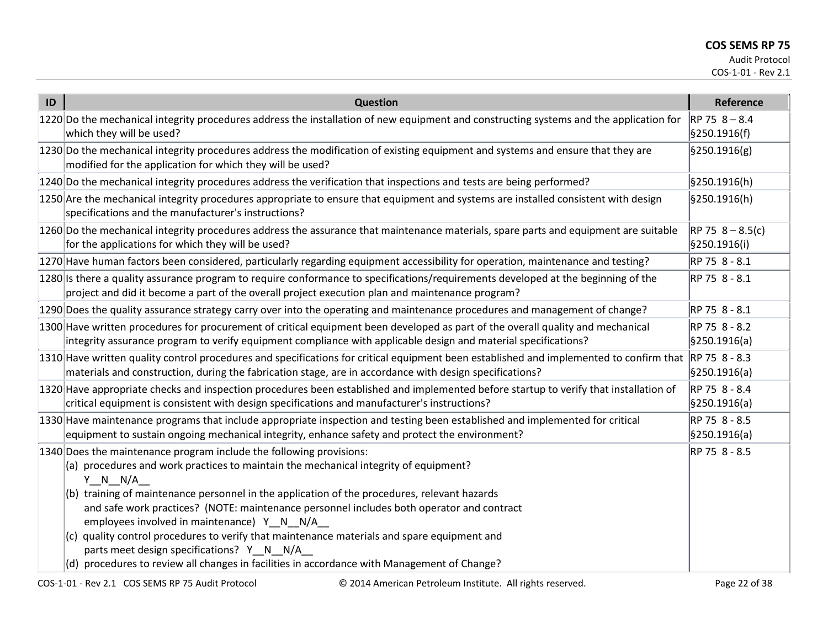| ID | <b>Question</b>                                                                                                                                                                                                                                                                                                                                                                                                                                                                                                                                                     | Reference                          |
|----|---------------------------------------------------------------------------------------------------------------------------------------------------------------------------------------------------------------------------------------------------------------------------------------------------------------------------------------------------------------------------------------------------------------------------------------------------------------------------------------------------------------------------------------------------------------------|------------------------------------|
|    | 1220 Do the mechanical integrity procedures address the installation of new equipment and constructing systems and the application for<br>which they will be used?                                                                                                                                                                                                                                                                                                                                                                                                  | $RP 75 8 - 8.4$<br>\$250.1916(f)   |
|    | 1230 Do the mechanical integrity procedures address the modification of existing equipment and systems and ensure that they are<br>modified for the application for which they will be used?                                                                                                                                                                                                                                                                                                                                                                        | $\frac{1}{2}$ \$250.1916(g)        |
|    | 1240 Do the mechanical integrity procedures address the verification that inspections and tests are being performed?                                                                                                                                                                                                                                                                                                                                                                                                                                                | §250.1916(h)                       |
|    | 1250 Are the mechanical integrity procedures appropriate to ensure that equipment and systems are installed consistent with design<br>specifications and the manufacturer's instructions?                                                                                                                                                                                                                                                                                                                                                                           | §250.1916(h)                       |
|    | 1260 Do the mechanical integrity procedures address the assurance that maintenance materials, spare parts and equipment are suitable<br>for the applications for which they will be used?                                                                                                                                                                                                                                                                                                                                                                           | $RP 75 8 - 8.5(c)$<br>§250.1916(i) |
|    | 1270 Have human factors been considered, particularly regarding equipment accessibility for operation, maintenance and testing?                                                                                                                                                                                                                                                                                                                                                                                                                                     | RP 75 8 - 8.1                      |
|    | 1280 Is there a quality assurance program to require conformance to specifications/requirements developed at the beginning of the<br>project and did it become a part of the overall project execution plan and maintenance program?                                                                                                                                                                                                                                                                                                                                | RP 75 8 - 8.1                      |
|    | 1290 Does the quality assurance strategy carry over into the operating and maintenance procedures and management of change?                                                                                                                                                                                                                                                                                                                                                                                                                                         | RP 75 8 - 8.1                      |
|    | 1300 Have written procedures for procurement of critical equipment been developed as part of the overall quality and mechanical<br>integrity assurance program to verify equipment compliance with applicable design and material specifications?                                                                                                                                                                                                                                                                                                                   | RP 75 8 - 8.2<br>§250.1916(a)      |
|    | 1310 Have written quality control procedures and specifications for critical equipment been established and implemented to confirm that RP 75 8 - 8.3<br>materials and construction, during the fabrication stage, are in accordance with design specifications?                                                                                                                                                                                                                                                                                                    | \$250.1916(a)                      |
|    | 1320 Have appropriate checks and inspection procedures been established and implemented before startup to verify that installation of<br>critical equipment is consistent with design specifications and manufacturer's instructions?                                                                                                                                                                                                                                                                                                                               | RP 75 8 - 8.4<br>\$250.1916(a)     |
|    | 1330 Have maintenance programs that include appropriate inspection and testing been established and implemented for critical<br>equipment to sustain ongoing mechanical integrity, enhance safety and protect the environment?                                                                                                                                                                                                                                                                                                                                      | RP 75 8 - 8.5<br>§250.1916(a)      |
|    | 1340 Does the maintenance program include the following provisions:<br>(a) procedures and work practices to maintain the mechanical integrity of equipment?<br>$Y \tN N/A$<br>(b) training of maintenance personnel in the application of the procedures, relevant hazards<br>and safe work practices? (NOTE: maintenance personnel includes both operator and contract<br>employees involved in maintenance) Y N N/A<br>$(c)$ quality control procedures to verify that maintenance materials and spare equipment and<br>parts meet design specifications? Y_N_N/A | RP 75 8 - 8.5                      |
|    | $(d)$ procedures to review all changes in facilities in accordance with Management of Change?                                                                                                                                                                                                                                                                                                                                                                                                                                                                       |                                    |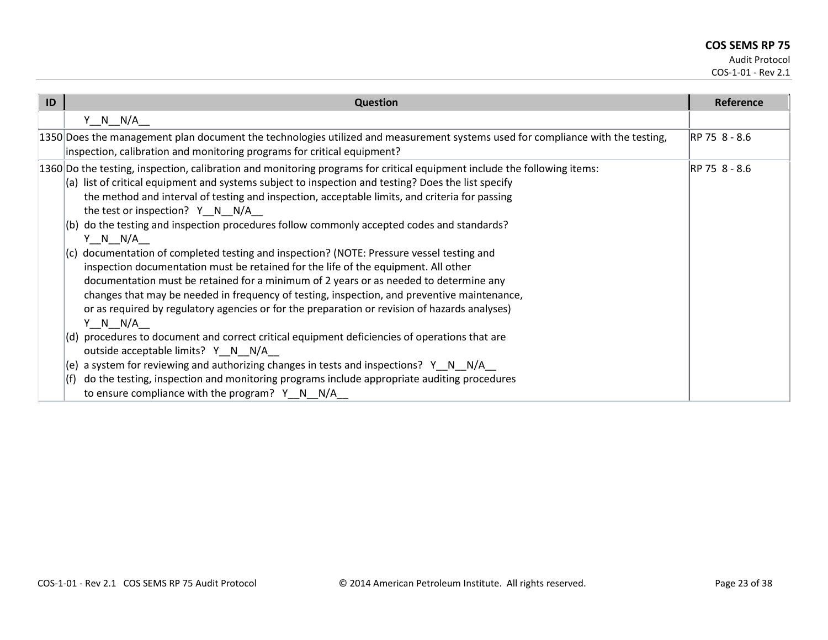| ID | Question                                                                                                                                                                                                                                                                                                                                                                                                                                                                                                                                                                                           | Reference     |
|----|----------------------------------------------------------------------------------------------------------------------------------------------------------------------------------------------------------------------------------------------------------------------------------------------------------------------------------------------------------------------------------------------------------------------------------------------------------------------------------------------------------------------------------------------------------------------------------------------------|---------------|
|    | $Y_N_N_N/A$                                                                                                                                                                                                                                                                                                                                                                                                                                                                                                                                                                                        |               |
|    | 1350 Does the management plan document the technologies utilized and measurement systems used for compliance with the testing,<br>inspection, calibration and monitoring programs for critical equipment?                                                                                                                                                                                                                                                                                                                                                                                          | RP 75 8 - 8.6 |
|    | 1360 Do the testing, inspection, calibration and monitoring programs for critical equipment include the following items:<br>$(a)$ list of critical equipment and systems subject to inspection and testing? Does the list specify<br>the method and interval of testing and inspection, acceptable limits, and criteria for passing<br>the test or inspection? $Y \cap N / A$                                                                                                                                                                                                                      | RP 75 8 - 8.6 |
|    | do the testing and inspection procedures follow commonly accepted codes and standards?<br>l(b)<br>Y N N/A<br>$(c)$ documentation of completed testing and inspection? (NOTE: Pressure vessel testing and<br>inspection documentation must be retained for the life of the equipment. All other<br>documentation must be retained for a minimum of 2 years or as needed to determine any<br>changes that may be needed in frequency of testing, inspection, and preventive maintenance,<br>or as required by regulatory agencies or for the preparation or revision of hazards analyses)<br>Y N N/A |               |
|    | (d) procedures to document and correct critical equipment deficiencies of operations that are<br>outside acceptable limits? Y_N_N/A_<br>a system for reviewing and authorizing changes in tests and inspections? $Y \cap N = N/A$<br>(e)<br>do the testing, inspection and monitoring programs include appropriate auditing procedures<br>l(†)<br>to ensure compliance with the program? $Y \ N \ N/A$                                                                                                                                                                                             |               |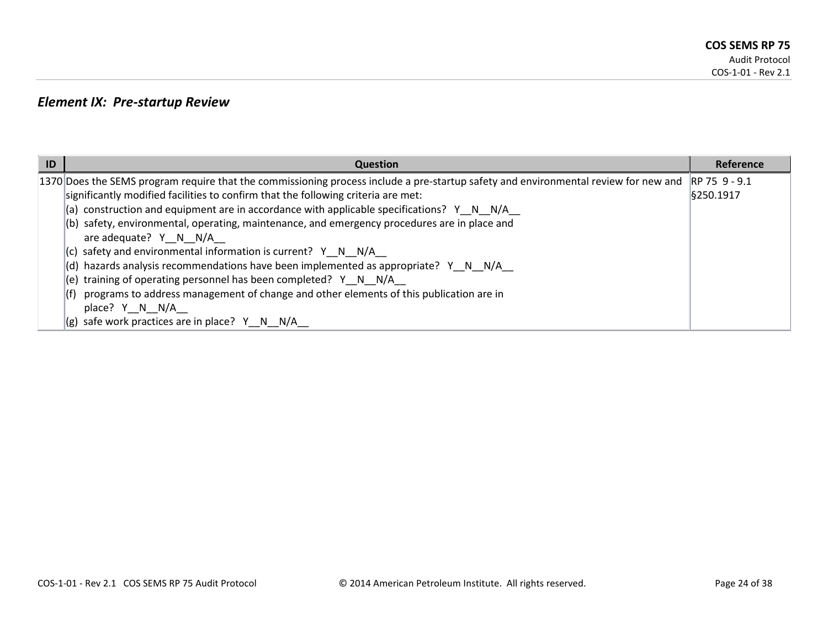### *Element IX: Pre-startup Review*

| ID | <b>Question</b>                                                                                                                     | <b>Reference</b> |
|----|-------------------------------------------------------------------------------------------------------------------------------------|------------------|
|    | 1370 Does the SEMS program require that the commissioning process include a pre-startup safety and environmental review for new and | RP 75 9 - 9.1    |
|    | significantly modified facilities to confirm that the following criteria are met:                                                   | §250.1917        |
|    | $(a)$ construction and equipment are in accordance with applicable specifications? Y_N_N/A_                                         |                  |
|    | $\vert$ (b) safety, environmental, operating, maintenance, and emergency procedures are in place and                                |                  |
|    | are adequate? $Y \ N \ N/A$                                                                                                         |                  |
|    | $ c $ safety and environmental information is current? Y N N/A                                                                      |                  |
|    | (d) hazards analysis recommendations have been implemented as appropriate? Y _N _N/A _                                              |                  |
|    | $\vert$ (e) training of operating personnel has been completed? Y N N/A                                                             |                  |
|    | programs to address management of change and other elements of this publication are in                                              |                  |
|    | place? Y N N/A                                                                                                                      |                  |
|    | $ (g)$ safe work practices are in place? Y N N/A                                                                                    |                  |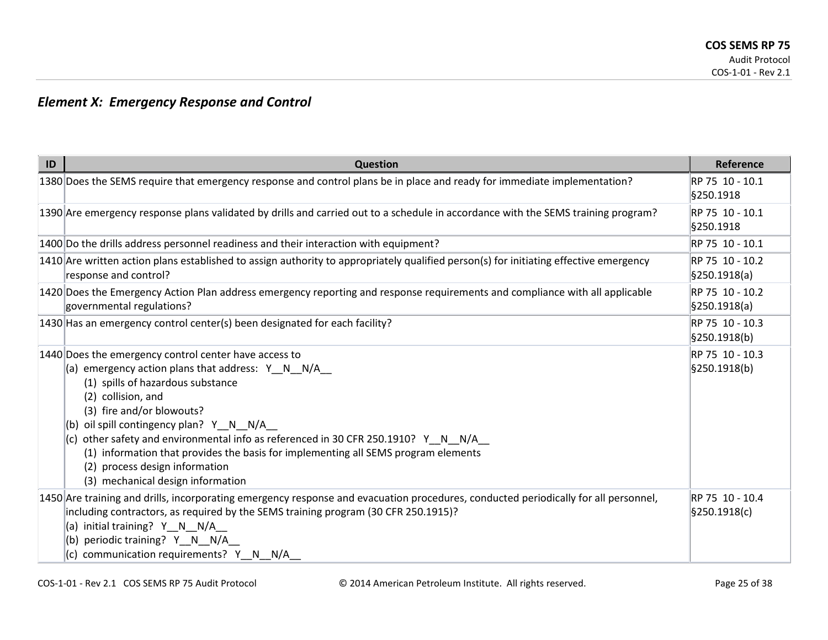## *Element X: Emergency Response and Control*

| ID | <b>Question</b>                                                                                                                                                                                                                                                                                                                                                                                                                                                                                              | <b>Reference</b>                 |
|----|--------------------------------------------------------------------------------------------------------------------------------------------------------------------------------------------------------------------------------------------------------------------------------------------------------------------------------------------------------------------------------------------------------------------------------------------------------------------------------------------------------------|----------------------------------|
|    | 1380 Does the SEMS require that emergency response and control plans be in place and ready for immediate implementation?                                                                                                                                                                                                                                                                                                                                                                                     | RP 75 10 - 10.1<br>§250.1918     |
|    | 1390 Are emergency response plans validated by drills and carried out to a schedule in accordance with the SEMS training program?                                                                                                                                                                                                                                                                                                                                                                            | RP 75 10 - 10.1<br>\$250.1918    |
|    | 1400 Do the drills address personnel readiness and their interaction with equipment?                                                                                                                                                                                                                                                                                                                                                                                                                         | RP 75 10 - 10.1                  |
|    | $1410$ Are written action plans established to assign authority to appropriately qualified person(s) for initiating effective emergency<br>response and control?                                                                                                                                                                                                                                                                                                                                             | RP 75 10 - 10.2<br>\$250.1918(a) |
|    | 1420 Does the Emergency Action Plan address emergency reporting and response requirements and compliance with all applicable<br>governmental regulations?                                                                                                                                                                                                                                                                                                                                                    | RP 75 10 - 10.2<br>\$250.1918(a) |
|    | 1430 Has an emergency control center(s) been designated for each facility?                                                                                                                                                                                                                                                                                                                                                                                                                                   | RP 75 10 - 10.3<br>\$250.1918(b) |
|    | 1440 Does the emergency control center have access to<br>(a) emergency action plans that address: $Y_N = N - N/A$<br>(1) spills of hazardous substance<br>(2) collision, and<br>(3) fire and/or blowouts?<br>(b) oil spill contingency plan? $Y \ N \ N/A$<br>(c) other safety and environmental info as referenced in 30 CFR 250.1910? Y N N/A<br>(1) information that provides the basis for implementing all SEMS program elements<br>(2) process design information<br>(3) mechanical design information | RP 75 10 - 10.3<br>§250.1918(b)  |
|    | 1450 Are training and drills, incorporating emergency response and evacuation procedures, conducted periodically for all personnel,<br>including contractors, as required by the SEMS training program (30 CFR 250.1915)?<br>(a) initial training? Y_N_N/A_<br>(b) periodic training? Y N N/A<br>(c) communication requirements? Y_N_N/A_                                                                                                                                                                    | RP 75 10 - 10.4<br>\$250.1918(c) |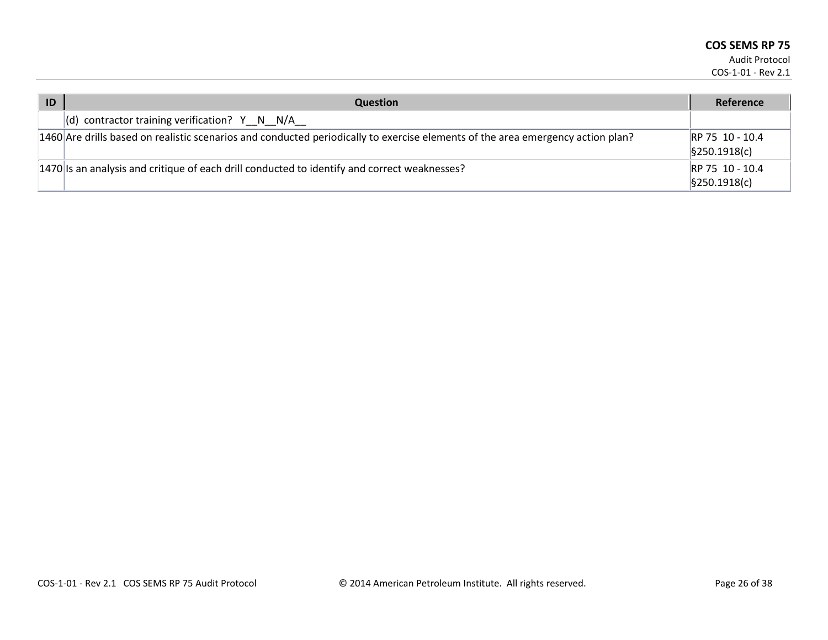| ID | <b>Question</b>                                                                                                                 | Reference                                      |
|----|---------------------------------------------------------------------------------------------------------------------------------|------------------------------------------------|
|    | $\vert$ (d) contractor training verification? Y N N/A                                                                           |                                                |
|    | 1460 Are drills based on realistic scenarios and conducted periodically to exercise elements of the area emergency action plan? | RP 75 10 - 10.4<br>$\frac{1}{2}$ \$250.1918(c) |
|    | $ 1470 $ is an analysis and critique of each drill conducted to identify and correct weaknesses?                                | RP 75 10 - 10.4<br>$\frac{1}{2}$ \$250.1918(c) |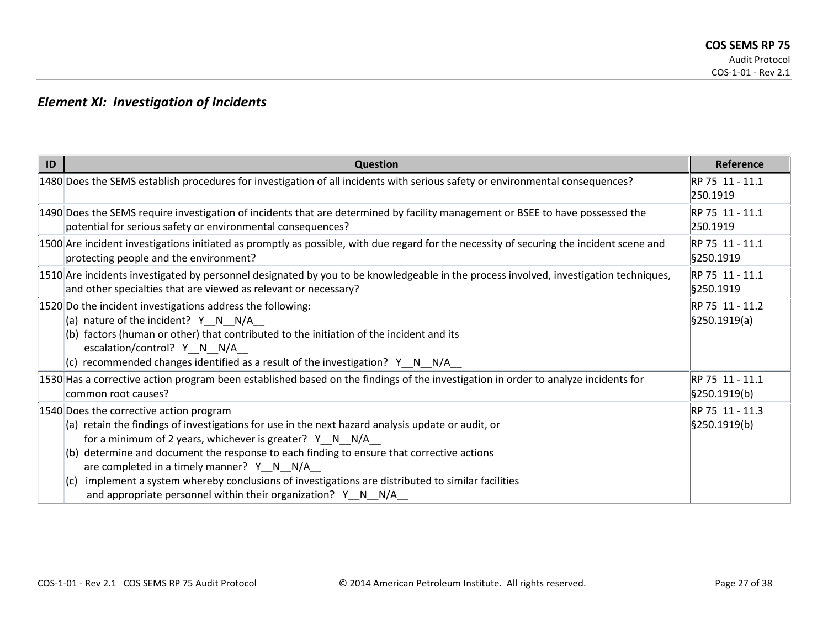## *Element XI: Investigation of Incidents*

| ID | <b>Question</b>                                                                                                                                                                                                                                                                                                                                                                                                                                                                                                                                     | <b>Reference</b>                 |
|----|-----------------------------------------------------------------------------------------------------------------------------------------------------------------------------------------------------------------------------------------------------------------------------------------------------------------------------------------------------------------------------------------------------------------------------------------------------------------------------------------------------------------------------------------------------|----------------------------------|
|    | 1480 Does the SEMS establish procedures for investigation of all incidents with serious safety or environmental consequences?                                                                                                                                                                                                                                                                                                                                                                                                                       | RP 75 11 - 11.1<br>250.1919      |
|    | 1490 Does the SEMS require investigation of incidents that are determined by facility management or BSEE to have possessed the<br>potential for serious safety or environmental consequences?                                                                                                                                                                                                                                                                                                                                                       | RP 75 11 - 11.1<br>250.1919      |
|    | 1500 Are incident investigations initiated as promptly as possible, with due regard for the necessity of securing the incident scene and<br>protecting people and the environment?                                                                                                                                                                                                                                                                                                                                                                  | RP 75 11 - 11.1<br>§250.1919     |
|    | 1510 Are incidents investigated by personnel designated by you to be knowledgeable in the process involved, investigation techniques,<br>and other specialties that are viewed as relevant or necessary?                                                                                                                                                                                                                                                                                                                                            | RP 75 11 - 11.1<br>§250.1919     |
|    | 1520 Do the incident investigations address the following:<br>(a) nature of the incident? $Y \ N \ N/A$<br>(b) factors (human or other) that contributed to the initiation of the incident and its<br>escalation/control? Y_N_N/A_<br>$(c)$ recommended changes identified as a result of the investigation? Y N N/A                                                                                                                                                                                                                                | RP 75 11 - 11.2<br>\$250.1919(a) |
|    | 1530 Has a corrective action program been established based on the findings of the investigation in order to analyze incidents for<br>common root causes?                                                                                                                                                                                                                                                                                                                                                                                           | RP 75 11 - 11.1<br>§250.1919(b)  |
|    | 1540 Does the corrective action program<br>(a) retain the findings of investigations for use in the next hazard analysis update or audit, or<br>for a minimum of 2 years, whichever is greater? $Y \ N \ N/A$<br>$ $ (b) determine and document the response to each finding to ensure that corrective actions<br>are completed in a timely manner? Y_N_N/A_<br>implement a system whereby conclusions of investigations are distributed to similar facilities<br>$\vert\vert$ (C)<br>and appropriate personnel within their organization? Y_N_N/A_ | RP 75 11 - 11.3<br>\$250.1919(b) |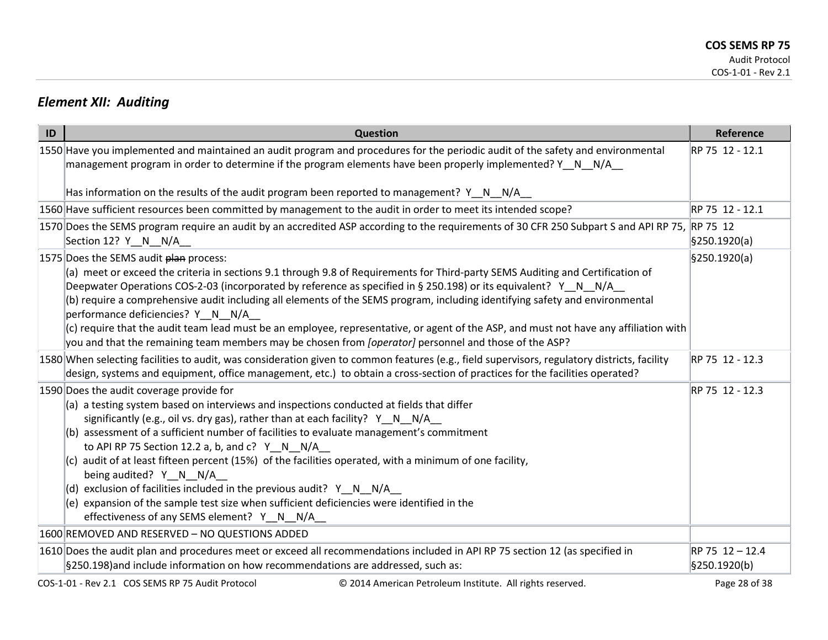### *Element XII: Auditing*

| ID | Question                                                                                                                                                                                                                                                                                                                                                                                                                                                                                                                                                                                                                                                                                                                                                                                | Reference       |
|----|-----------------------------------------------------------------------------------------------------------------------------------------------------------------------------------------------------------------------------------------------------------------------------------------------------------------------------------------------------------------------------------------------------------------------------------------------------------------------------------------------------------------------------------------------------------------------------------------------------------------------------------------------------------------------------------------------------------------------------------------------------------------------------------------|-----------------|
|    | 1550 Have you implemented and maintained an audit program and procedures for the periodic audit of the safety and environmental<br>management program in order to determine if the program elements have been properly implemented? $Y \quad N \quad N/A$                                                                                                                                                                                                                                                                                                                                                                                                                                                                                                                               | RP 75 12 - 12.1 |
|    | Has information on the results of the audit program been reported to management? $Y \cap N$ N/A                                                                                                                                                                                                                                                                                                                                                                                                                                                                                                                                                                                                                                                                                         |                 |
|    | 1560 Have sufficient resources been committed by management to the audit in order to meet its intended scope?                                                                                                                                                                                                                                                                                                                                                                                                                                                                                                                                                                                                                                                                           | RP 75 12 - 12.1 |
|    | 1570 Does the SEMS program require an audit by an accredited ASP according to the requirements of 30 CFR 250 Subpart S and API RP 75, RP 75 12<br>Section 12? Y__N__N/A__                                                                                                                                                                                                                                                                                                                                                                                                                                                                                                                                                                                                               | \$250.1920(a)   |
|    | 1575 Does the SEMS audit plan process:<br>(a) meet or exceed the criteria in sections 9.1 through 9.8 of Requirements for Third-party SEMS Auditing and Certification of<br>Deepwater Operations COS-2-03 (incorporated by reference as specified in § 250.198) or its equivalent? Y N N/A<br>(b) require a comprehensive audit including all elements of the SEMS program, including identifying safety and environmental<br>performance deficiencies? Y__N__N/A__<br>(c) require that the audit team lead must be an employee, representative, or agent of the ASP, and must not have any affiliation with<br>you and that the remaining team members may be chosen from <i>[operator]</i> personnel and those of the ASP?                                                            | §250.1920(a)    |
|    | 1580 When selecting facilities to audit, was consideration given to common features (e.g., field supervisors, regulatory districts, facility<br>design, systems and equipment, office management, etc.) to obtain a cross-section of practices for the facilities operated?                                                                                                                                                                                                                                                                                                                                                                                                                                                                                                             | RP 75 12 - 12.3 |
|    | 1590 Does the audit coverage provide for<br>$(a)$ a testing system based on interviews and inspections conducted at fields that differ<br>significantly (e.g., oil vs. dry gas), rather than at each facility? Y N N/A<br>(b) assessment of a sufficient number of facilities to evaluate management's commitment<br>to API RP 75 Section 12.2 a, b, and $c$ ? Y N N/A<br>$(c)$ audit of at least fifteen percent (15%) of the facilities operated, with a minimum of one facility,<br>being audited? Y N N/A<br>(d) exclusion of facilities included in the previous audit? $Y \ N \ N/A$<br>(e) expansion of the sample test size when sufficient deficiencies were identified in the<br>effectiveness of any SEMS element? Y N N/A<br>1600 REMOVED AND RESERVED - NO QUESTIONS ADDED | RP 75 12 - 12.3 |
|    | 1610 Does the audit plan and procedures meet or exceed all recommendations included in API RP 75 section 12 (as specified in                                                                                                                                                                                                                                                                                                                                                                                                                                                                                                                                                                                                                                                            | RP 75 12 - 12.4 |
|    | §250.198)and include information on how recommendations are addressed, such as:                                                                                                                                                                                                                                                                                                                                                                                                                                                                                                                                                                                                                                                                                                         | §250.1920(b)    |
|    | COS-1-01 - Rev 2.1 COS SEMS RP 75 Audit Protocol<br>© 2014 American Petroleum Institute. All rights reserved.                                                                                                                                                                                                                                                                                                                                                                                                                                                                                                                                                                                                                                                                           | Page 28 of 38   |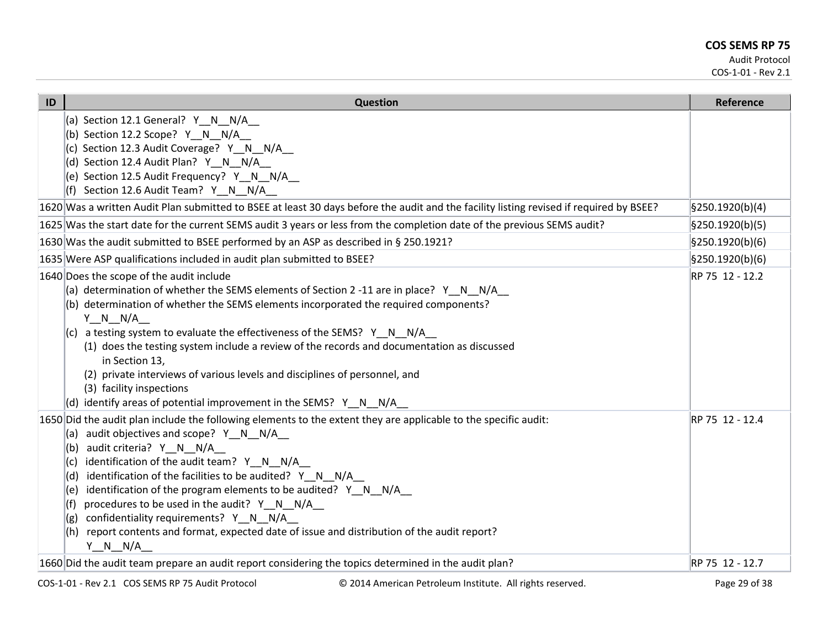| ID | Question                                                                                                                                                                                                                                                                                                                                                                                                                                                                                                                                                                                                                                     | <b>Reference</b>              |
|----|----------------------------------------------------------------------------------------------------------------------------------------------------------------------------------------------------------------------------------------------------------------------------------------------------------------------------------------------------------------------------------------------------------------------------------------------------------------------------------------------------------------------------------------------------------------------------------------------------------------------------------------------|-------------------------------|
|    | (a) Section 12.1 General? Y_N_N/A_<br>(b) Section 12.2 Scope? Y N N/A<br>(c) Section 12.3 Audit Coverage? Y N N/A<br>(d) Section 12.4 Audit Plan? Y N N/A<br>(e) Section 12.5 Audit Frequency? Y N N/A<br>(f) Section 12.6 Audit Team? $Y \tN N/A$                                                                                                                                                                                                                                                                                                                                                                                           |                               |
|    | 1620 Was a written Audit Plan submitted to BSEE at least 30 days before the audit and the facility listing revised if required by BSEE?                                                                                                                                                                                                                                                                                                                                                                                                                                                                                                      | $\frac{1}{2}$ 9250.1920(b)(4) |
|    | 1625 Was the start date for the current SEMS audit 3 years or less from the completion date of the previous SEMS audit?                                                                                                                                                                                                                                                                                                                                                                                                                                                                                                                      | §250.1920(b)(5)               |
|    | 1630 Was the audit submitted to BSEE performed by an ASP as described in § 250.1921?                                                                                                                                                                                                                                                                                                                                                                                                                                                                                                                                                         | §250.1920(b)(6)               |
|    | 1635 Were ASP qualifications included in audit plan submitted to BSEE?                                                                                                                                                                                                                                                                                                                                                                                                                                                                                                                                                                       | \$250.1920(b)(6)              |
|    | 1640 Does the scope of the audit include<br>(a) determination of whether the SEMS elements of Section 2 -11 are in place? $Y \cap N = N/A$<br>(b) determination of whether the SEMS elements incorporated the required components?<br>$Y \quad N \quad N/A$<br>$ c $ a testing system to evaluate the effectiveness of the SEMS? Y N N/A<br>(1) does the testing system include a review of the records and documentation as discussed<br>in Section 13,<br>(2) private interviews of various levels and disciplines of personnel, and<br>(3) facility inspections<br>(d) identify areas of potential improvement in the SEMS? $Y \ N \ N/A$ | RP 75 12 - 12.2               |
|    | 1650 Did the audit plan include the following elements to the extent they are applicable to the specific audit:<br>audit objectives and scope? Y N N/A<br>(a)<br>audit criteria? Y N N/A<br>(b)<br>identification of the audit team? Y_N_N/A_<br>(c)<br>identification of the facilities to be audited? Y_N_N/A_<br>(d)<br>identification of the program elements to be audited? Y N N/A<br>(e)<br>procedures to be used in the audit? Y_N_N/A_<br>(f)<br>confidentiality requirements? Y_N_N/A_<br>report contents and format, expected date of issue and distribution of the audit report?<br>(h)<br>$Y_N_N_N/A$                           | RP 75 12 - 12.4               |
|    | 1660 Did the audit team prepare an audit report considering the topics determined in the audit plan?                                                                                                                                                                                                                                                                                                                                                                                                                                                                                                                                         | RP 75 12 - 12.7               |
|    |                                                                                                                                                                                                                                                                                                                                                                                                                                                                                                                                                                                                                                              | $\sim$ $\sim$                 |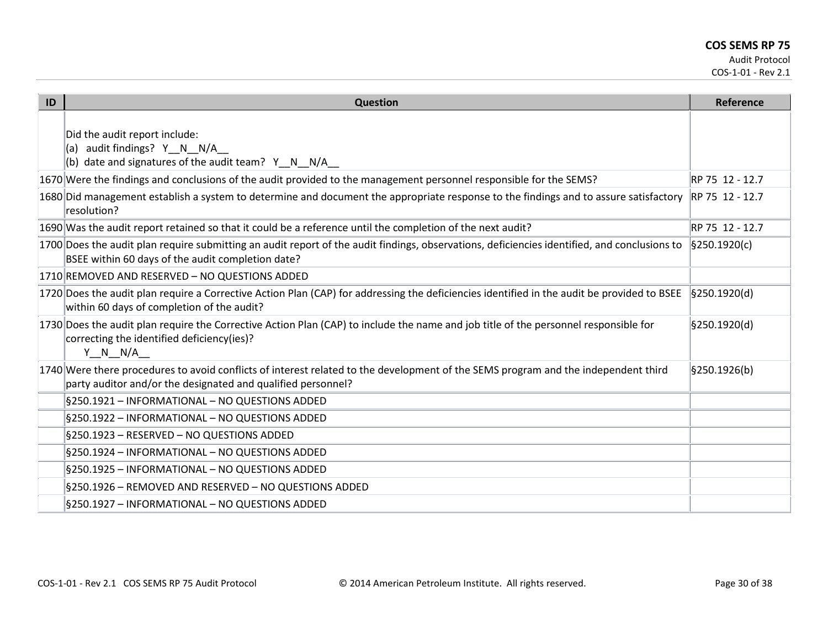| ID | <b>Question</b>                                                                                                                                                                                    | Reference                   |
|----|----------------------------------------------------------------------------------------------------------------------------------------------------------------------------------------------------|-----------------------------|
|    | Did the audit report include:<br>audit findings? Y N N/A<br>l(a) I<br>(b) date and signatures of the audit team? $Y \tN N/A$                                                                       |                             |
|    | 1670 Were the findings and conclusions of the audit provided to the management personnel responsible for the SEMS?                                                                                 | RP 75 12 - 12.7             |
|    | 1680 Did management establish a system to determine and document the appropriate response to the findings and to assure satisfactory<br>resolution?                                                | RP 75 12 - 12.7             |
|    | 1690 Was the audit report retained so that it could be a reference until the completion of the next audit?                                                                                         | RP 75 12 - 12.7             |
|    | 1700 Does the audit plan require submitting an audit report of the audit findings, observations, deficiencies identified, and conclusions to<br>BSEE within 60 days of the audit completion date?  | $\frac{1}{2}$ [§250.1920(c) |
|    | 1710 REMOVED AND RESERVED - NO QUESTIONS ADDED                                                                                                                                                     |                             |
|    | 1720 Does the audit plan require a Corrective Action Plan (CAP) for addressing the deficiencies identified in the audit be provided to BSEE<br>within 60 days of completion of the audit?          | $\frac{1}{2}$ [§250.1920(d) |
|    | 1730 Does the audit plan require the Corrective Action Plan (CAP) to include the name and job title of the personnel responsible for<br>correcting the identified deficiency(ies)?<br>Y N N/A      | §250.1920(d)                |
|    | 1740 Were there procedures to avoid conflicts of interest related to the development of the SEMS program and the independent third<br>party auditor and/or the designated and qualified personnel? | §250.1926(b)                |
|    | §250.1921 - INFORMATIONAL - NO QUESTIONS ADDED                                                                                                                                                     |                             |
|    | §250.1922 - INFORMATIONAL - NO QUESTIONS ADDED                                                                                                                                                     |                             |
|    | §250.1923 - RESERVED - NO QUESTIONS ADDED                                                                                                                                                          |                             |
|    | §250.1924 - INFORMATIONAL - NO QUESTIONS ADDED                                                                                                                                                     |                             |
|    | §250.1925 - INFORMATIONAL - NO QUESTIONS ADDED                                                                                                                                                     |                             |
|    | §250.1926 - REMOVED AND RESERVED - NO QUESTIONS ADDED                                                                                                                                              |                             |
|    | §250.1927 - INFORMATIONAL - NO QUESTIONS ADDED                                                                                                                                                     |                             |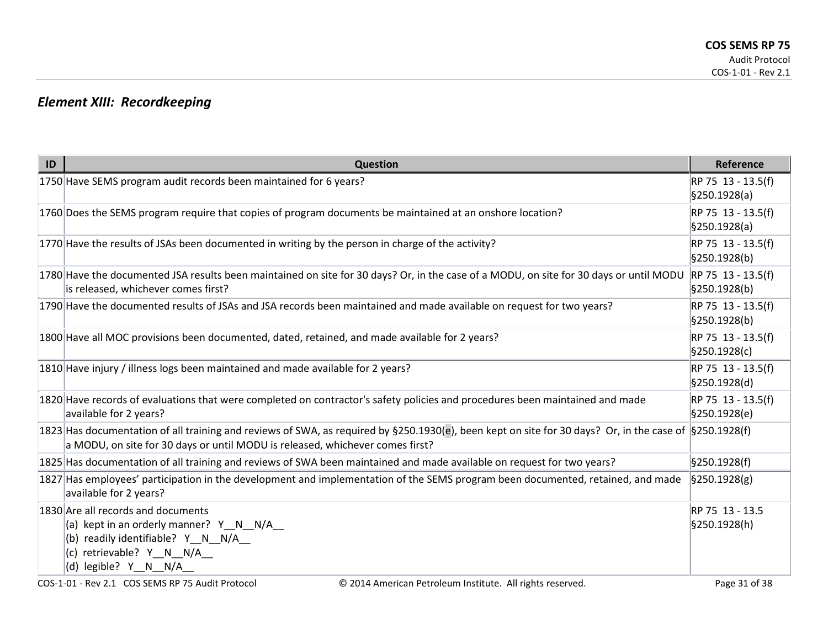# *Element XIII: Recordkeeping*

| ID | <b>Question</b>                                                                                                                                                                                                                                                                                                                                                                                                        | Reference                                        |
|----|------------------------------------------------------------------------------------------------------------------------------------------------------------------------------------------------------------------------------------------------------------------------------------------------------------------------------------------------------------------------------------------------------------------------|--------------------------------------------------|
|    | 1750 Have SEMS program audit records been maintained for 6 years?                                                                                                                                                                                                                                                                                                                                                      | RP 75 13 - 13.5(f)<br>\$250.1928(a)              |
|    | 1760 Does the SEMS program require that copies of program documents be maintained at an onshore location?                                                                                                                                                                                                                                                                                                              | RP 75 13 - 13.5(f)<br>\$250.1928(a)              |
|    | 1770 Have the results of JSAs been documented in writing by the person in charge of the activity?                                                                                                                                                                                                                                                                                                                      | RP 75 13 - 13.5(f)<br>\$250.1928(b)              |
|    | 1780 Have the documented JSA results been maintained on site for 30 days? Or, in the case of a MODU, on site for 30 days or until MODU<br>is released, whichever comes first?                                                                                                                                                                                                                                          | RP 75 13 - 13.5(f)<br>§250.1928(b)               |
|    | 1790 Have the documented results of JSAs and JSA records been maintained and made available on request for two years?                                                                                                                                                                                                                                                                                                  | RP 75 13 - 13.5(f)<br>$\frac{1}{2}$ 9250.1928(b) |
|    | 1800 Have all MOC provisions been documented, dated, retained, and made available for 2 years?                                                                                                                                                                                                                                                                                                                         | RP 75 13 - 13.5(f)<br>\$250.1928(c)              |
|    | 1810 Have injury / illness logs been maintained and made available for 2 years?                                                                                                                                                                                                                                                                                                                                        | RP 75 13 - 13.5(f)<br>§250.1928(d)               |
|    | 1820 Have records of evaluations that were completed on contractor's safety policies and procedures been maintained and made<br>available for 2 years?                                                                                                                                                                                                                                                                 | RP 75 13 - 13.5(f)<br>§250.1928(e)               |
|    | 1823 Has documentation of all training and reviews of SWA, as required by §250.1930(e), been kept on site for 30 days? Or, in the case of §250.1928(f)<br>a MODU, on site for 30 days or until MODU is released, whichever comes first?                                                                                                                                                                                |                                                  |
|    | 1825 Has documentation of all training and reviews of SWA been maintained and made available on request for two years?                                                                                                                                                                                                                                                                                                 | §250.1928(f)                                     |
|    | 1827 Has employees' participation in the development and implementation of the SEMS program been documented, retained, and made<br>available for 2 years?                                                                                                                                                                                                                                                              | $\frac{1}{2}$ \$250.1928(g)                      |
|    | 1830 Are all records and documents<br>(a) kept in an orderly manner? $Y \ N \ N/A$<br>(b) readily identifiable? $Y \tN N/A$<br>(c) retrievable? Y N N/A<br>$\vert$ (d) legible? Y_N_N/A_                                                                                                                                                                                                                               | RP 75 13 - 13.5<br>§250.1928(h)                  |
|    | $\bigcirc$ $\bigcirc$ $\bigcirc$ $\bigcirc$ $\bigcirc$ $\bigcirc$ $\bigcirc$ $\bigcirc$ $\bigcirc$ $\bigcirc$ $\bigcirc$ $\bigcirc$ $\bigcirc$ $\bigcirc$ $\bigcirc$ $\bigcirc$ $\bigcirc$ $\bigcirc$ $\bigcirc$ $\bigcirc$ $\bigcirc$ $\bigcirc$ $\bigcirc$ $\bigcirc$ $\bigcirc$ $\bigcirc$ $\bigcirc$ $\bigcirc$ $\bigcirc$ $\bigcirc$ $\bigcirc$ $\bigcirc$ $\bigcirc$ $\bigcirc$ $\bigcirc$ $\bigcirc$ $\bigcirc$ |                                                  |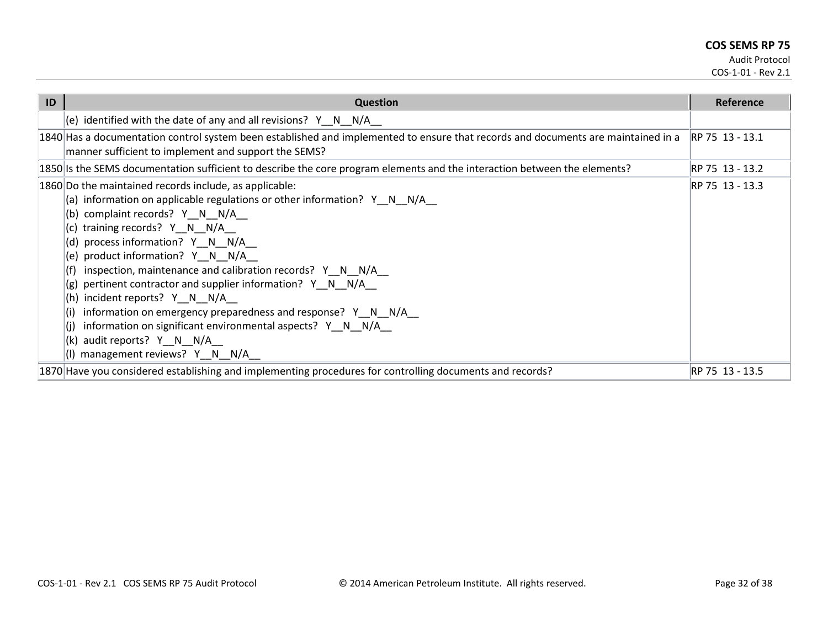Audit Protocol

COS-1-01 - Rev 2.1

| ID | <b>Question</b>                                                                                                                                                                                                                                                                                                                                                                                                                                                                                                                                                                                                                                                         | Reference        |
|----|-------------------------------------------------------------------------------------------------------------------------------------------------------------------------------------------------------------------------------------------------------------------------------------------------------------------------------------------------------------------------------------------------------------------------------------------------------------------------------------------------------------------------------------------------------------------------------------------------------------------------------------------------------------------------|------------------|
|    | (e) identified with the date of any and all revisions? $Y \ N \ N/A$                                                                                                                                                                                                                                                                                                                                                                                                                                                                                                                                                                                                    |                  |
|    | 1840 Has a documentation control system been established and implemented to ensure that records and documents are maintained in a<br>manner sufficient to implement and support the SEMS?                                                                                                                                                                                                                                                                                                                                                                                                                                                                               | IRP 75 13 - 13.1 |
|    | 1850 Is the SEMS documentation sufficient to describe the core program elements and the interaction between the elements?                                                                                                                                                                                                                                                                                                                                                                                                                                                                                                                                               | RP 75 13 - 13.2  |
|    | 1860 Do the maintained records include, as applicable:<br>(a) information on applicable regulations or other information? $Y \tN N/A$<br>(b) complaint records? Y_N_N/A_<br>training records? Y N N/A<br>(c)<br>(d) process information? Y N N/A<br>product information? Y N N/A<br>(e)<br>inspection, maintenance and calibration records? Y N N/A<br>pertinent contractor and supplier information? Y_N_N/A_<br>(g)<br>incident reports? $Y \ N \ N/A$<br>(h)<br>information on emergency preparedness and response? $Y \ N \ N/A$<br>information on significant environmental aspects? $Y \ N \ N/A$<br>audit reports? Y N N/A<br>(k)<br>management reviews? Y N N/A | RP 75 13 - 13.3  |
|    | 1870 Have you considered establishing and implementing procedures for controlling documents and records?                                                                                                                                                                                                                                                                                                                                                                                                                                                                                                                                                                | RP 75 13 - 13.5  |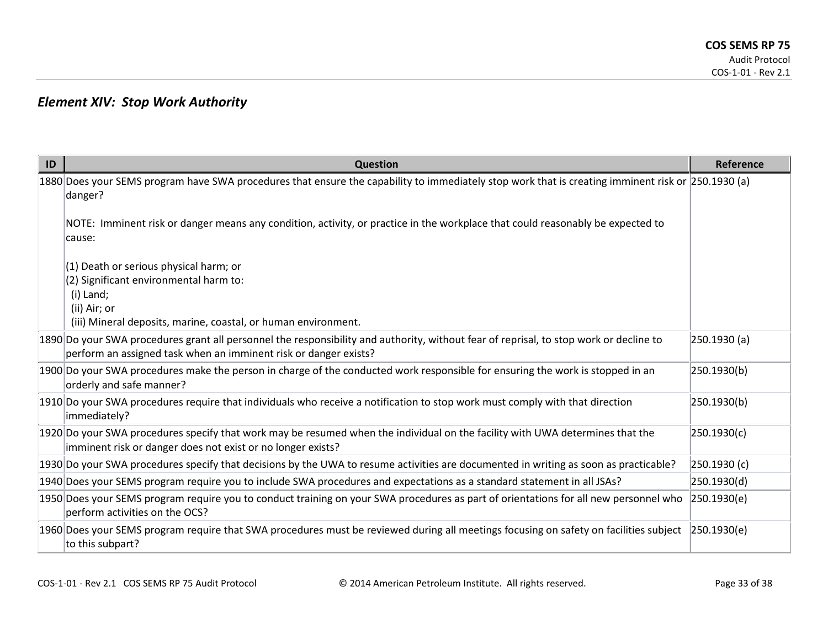### *Element XIV: Stop Work Authority*

| ID | <b>Question</b>                                                                                                                                                                                            | Reference    |
|----|------------------------------------------------------------------------------------------------------------------------------------------------------------------------------------------------------------|--------------|
|    | 1880 Does your SEMS program have SWA procedures that ensure the capability to immediately stop work that is creating imminent risk or 250.1930 (a)<br>danger?                                              |              |
|    | NOTE: Imminent risk or danger means any condition, activity, or practice in the workplace that could reasonably be expected to<br>cause:                                                                   |              |
|    | $(1)$ Death or serious physical harm; or<br>$(2)$ Significant environmental harm to:<br>(i) Land;<br>(ii) Air; or<br>(iii) Mineral deposits, marine, coastal, or human environment.                        |              |
|    | 1890 Do your SWA procedures grant all personnel the responsibility and authority, without fear of reprisal, to stop work or decline to<br>perform an assigned task when an imminent risk or danger exists? | 250.1930 (a) |
|    | 1900 Do your SWA procedures make the person in charge of the conducted work responsible for ensuring the work is stopped in an<br>orderly and safe manner?                                                 | 250.1930(b)  |
|    | 1910 Do your SWA procedures require that individuals who receive a notification to stop work must comply with that direction<br>immediately?                                                               | 250.1930(b)  |
|    | 1920 Do your SWA procedures specify that work may be resumed when the individual on the facility with UWA determines that the<br>imminent risk or danger does not exist or no longer exists?               | 250.1930(c)  |
|    | 1930 Do your SWA procedures specify that decisions by the UWA to resume activities are documented in writing as soon as practicable?                                                                       | 250.1930 (c) |
|    | 1940 Does your SEMS program require you to include SWA procedures and expectations as a standard statement in all JSAs?                                                                                    | 250.1930(d)  |
|    | 1950 Does your SEMS program require you to conduct training on your SWA procedures as part of orientations for all new personnel who<br>perform activities on the OCS?                                     | 250.1930(e)  |
|    | 1960 Does your SEMS program require that SWA procedures must be reviewed during all meetings focusing on safety on facilities subject<br>to this subpart?                                                  | 250.1930(e)  |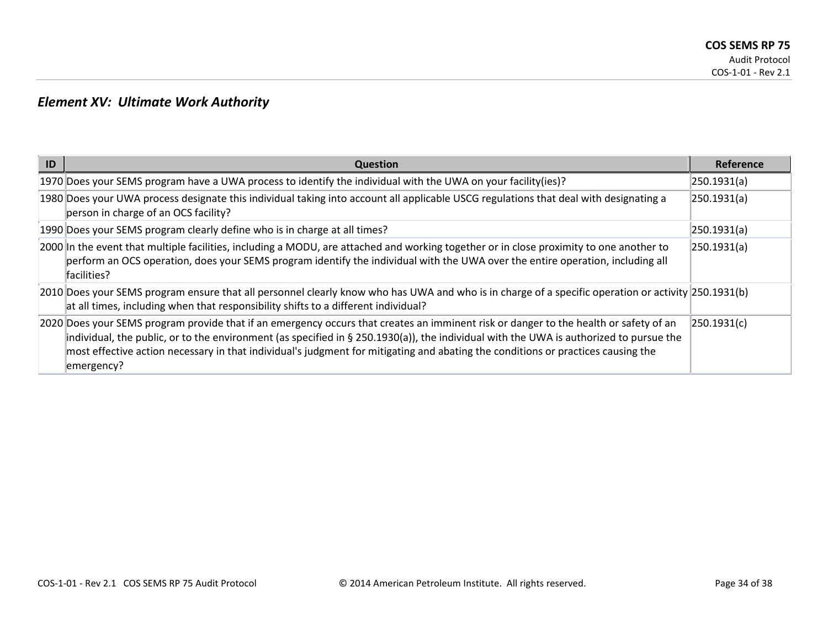### *Element XV: Ultimate Work Authority*

| ID | <b>Question</b>                                                                                                                                                                                                                                                                                                                                                                                                                   | Reference   |
|----|-----------------------------------------------------------------------------------------------------------------------------------------------------------------------------------------------------------------------------------------------------------------------------------------------------------------------------------------------------------------------------------------------------------------------------------|-------------|
|    | 1970 Does your SEMS program have a UWA process to identify the individual with the UWA on your facility(ies)?                                                                                                                                                                                                                                                                                                                     | 250.1931(a) |
|    | 1980 Does your UWA process designate this individual taking into account all applicable USCG regulations that deal with designating a<br>person in charge of an OCS facility?                                                                                                                                                                                                                                                     | 250.1931(a) |
|    | 1990 Does your SEMS program clearly define who is in charge at all times?                                                                                                                                                                                                                                                                                                                                                         | 250.1931(a) |
|    | 2000 In the event that multiple facilities, including a MODU, are attached and working together or in close proximity to one another to<br>perform an OCS operation, does your SEMS program identify the individual with the UWA over the entire operation, including all<br>facilities?                                                                                                                                          | 250.1931(a) |
|    | 2010 Does your SEMS program ensure that all personnel clearly know who has UWA and who is in charge of a specific operation or activity 250.1931(b)<br>at all times, including when that responsibility shifts to a different individual?                                                                                                                                                                                         |             |
|    | 2020 Does your SEMS program provide that if an emergency occurs that creates an imminent risk or danger to the health or safety of an<br>individual, the public, or to the environment (as specified in § 250.1930(a)), the individual with the UWA is authorized to pursue the<br>most effective action necessary in that individual's judgment for mitigating and abating the conditions or practices causing the<br>emergency? | 250.1931(c) |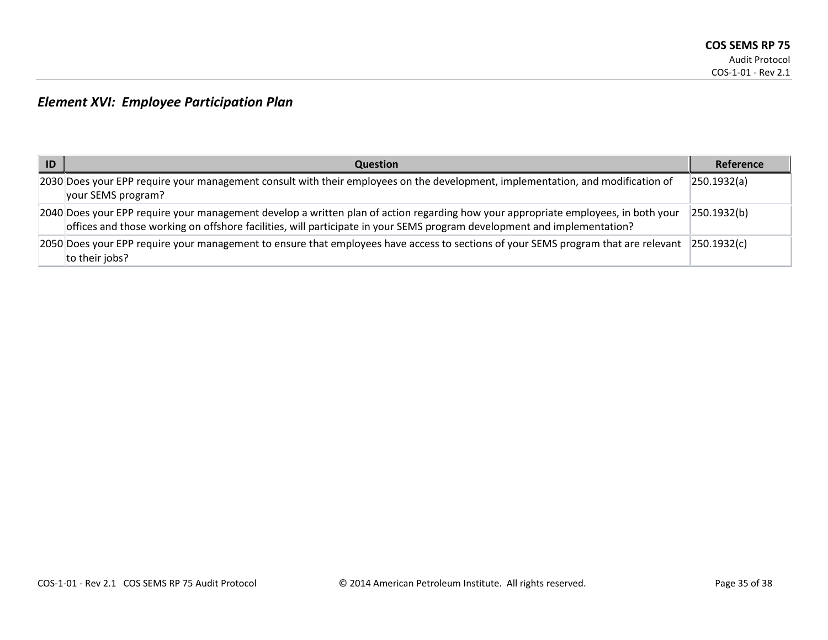## *Element XVI: Employee Participation Plan*

| -ID | <b>Question</b>                                                                                                                                                                                                                                               | Reference   |
|-----|---------------------------------------------------------------------------------------------------------------------------------------------------------------------------------------------------------------------------------------------------------------|-------------|
|     | 2030 Does your EPP require your management consult with their employees on the development, implementation, and modification of<br>your SEMS program?                                                                                                         | 250.1932(a) |
|     | 2040 Does your EPP require your management develop a written plan of action regarding how your appropriate employees, in both your<br>offices and those working on offshore facilities, will participate in your SEMS program development and implementation? | 250.1932(b) |
|     | 2050 Does your EPP require your management to ensure that employees have access to sections of your SEMS program that are relevant<br>to their jobs?                                                                                                          | 250.1932(c) |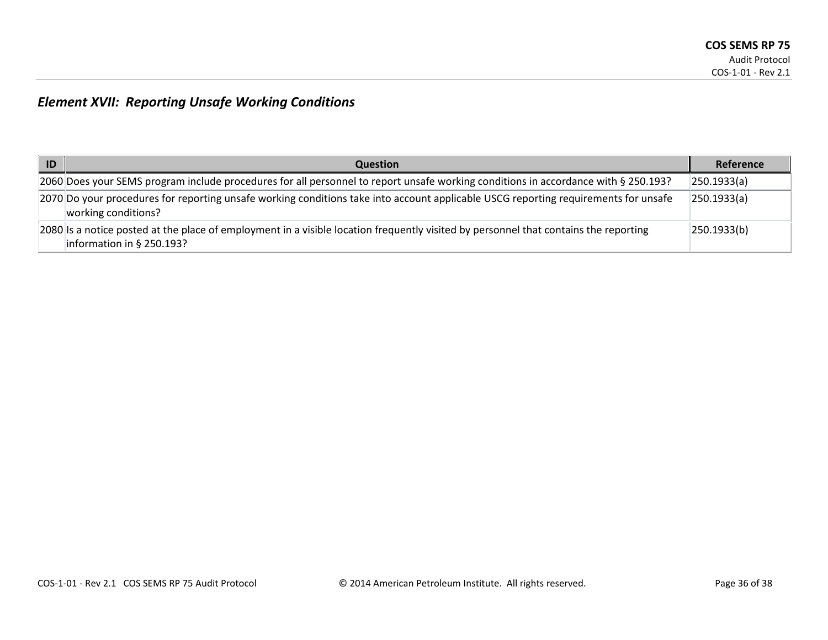## *Element XVII: Reporting Unsafe Working Conditions*

| ID | <b>Question</b>                                                                                                                                                                  | Reference   |
|----|----------------------------------------------------------------------------------------------------------------------------------------------------------------------------------|-------------|
|    | [2060] Does your SEMS program include procedures for all personnel to report unsafe working conditions in accordance with § 250.193?                                             | 250.1933(a) |
|    | 2070 Do your procedures for reporting unsafe working conditions take into account applicable USCG reporting requirements for unsafe<br>working conditions?                       | 250.1933(a) |
|    | [2080] [Is a notice posted at the place of employment in a visible location frequently visited by personnel that contains the reporting<br>$\parallel$ information in § 250.193? | 250.1933(b) |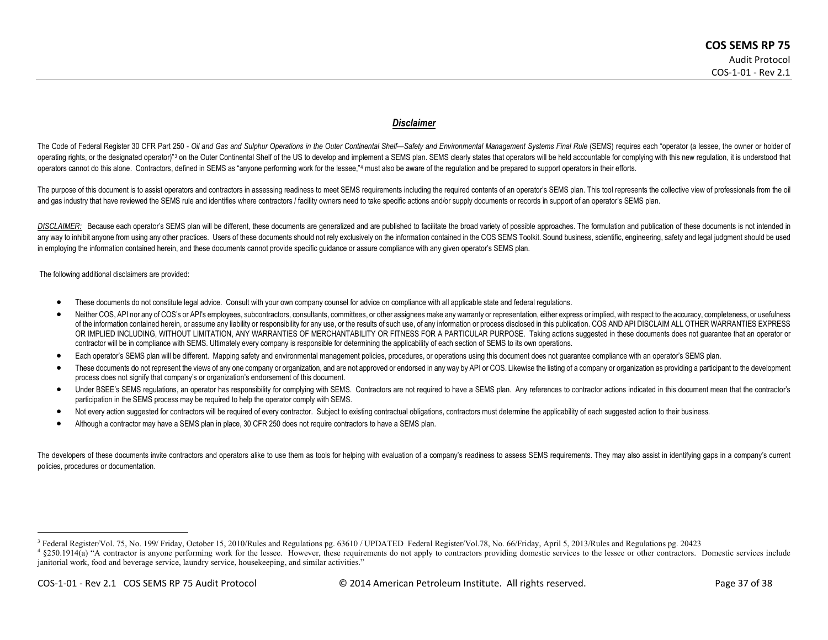#### <span id="page-36-1"></span><span id="page-36-0"></span>*Disclaimer*

The Code of Federal Register 30 CFR Part 250 - Oil and Gas and Sulphur Operations in the Outer Continental Shelf-Safety and Environmental Management Systems Final Rule (SEMS) requires each "operator (a lessee, the owner or operating rights, or the designated operator)"[3](#page-36-0) on the Outer Continental Shelf of the US to develop and implement a SEMS plan. SEMS clearly states that operators will be held accountable for complying with this new requlat operators cannot do this alone. Contractors, defined in SEMS as "anyone performing work for the lessee."<sup>[4](#page-36-1)</sup> must also be aware of the regulation and be prepared to support operators in their efforts.

The purpose of this document is to assist operators and contractors in assessing readiness to meet SEMS requirements including the required contents of an operator's SEMS plan. This tool represents the collective view of p and gas industry that have reviewed the SEMS rule and identifies where contractors / facility owners need to take specific actions and/or supply documents or records in support of an operator's SEMS plan.

DISCLAIMER: Because each operator's SEMS plan will be different, these documents are generalized and are published to facilitate the broad variety of possible approaches. The formulation and publication of these documents any way to inhibit anyone from using any other practices. Users of these documents should not rely exclusively on the information contained in the COS SEMS Toolkit. Sound business, scientific, engineering, safety and legal in employing the information contained herein, and these documents cannot provide specific guidance or assure compliance with any given operator's SEMS plan.

The following additional disclaimers are provided:

- These documents do not constitute legal advice. Consult with your own company counsel for advice on compliance with all applicable state and federal regulations.
- Neither COS, API nor any of COS's or API's employees, subcontractors, consultants, committees, or other assignees make any warranty or representation, either express or implied, with respect to the accuracy, completeness, of the information contained herein, or assume any liability or responsibility for any use, or the results of such use, of any information or process disclosed in this publication. COS AND API DISCLAIM ALL OTHER WARRANTIES OR IMPLIED INCLUDING, WITHOUT LIMITATION, ANY WARRANTIES OF MERCHANTABILITY OR FITNESS FOR A PARTICULAR PURPOSE. Taking actions suggested in these documents does not guarantee that an operator or contractor will be in compliance with SEMS. Ultimately every company is responsible for determining the applicability of each section of SEMS to its own operations.
- Each operator's SEMS plan will be different. Mapping safety and environmental management policies, procedures, or operations using this document does not guarantee compliance with an operator's SEMS plan.
- These documents do not represent the views of any one company or organization, and are not approved or endorsed in any way by API or COS. Likewise the listing of a company or organization as providing a participant to the process does not signify that company's or organization's endorsement of this document.
- Under BSEE's SEMS requiations, an operator has responsibility for complying with SEMS. Contractors are not required to have a SEMS plan. Any references to contractor actions indicated in this document mean that the contrac participation in the SEMS process may be required to help the operator comply with SEMS.
- Not every action suggested for contractors will be required of every contractor. Subject to existing contractual obligations, contractors must determine the applicability of each suggested action to their business.
- Although a contractor may have a SEMS plan in place, 30 CFR 250 does not require contractors to have a SEMS plan.

The developers of these documents invite contractors and operators alike to use them as tools for helping with evaluation of a company's readiness to assess SEMS requirements. They may also assist in identifying gaps in a policies, procedures or documentation.

<sup>&</sup>lt;sup>3</sup> Federal Register/Vol. 75, No. 199/ Friday, October 15, 2010/Rules and Regulations pg. 63610/ UPDATED Federal Register/Vol.78, No. 66/Friday, April 5, 2013/Rules and Regulations pg. 20423<br><sup>4</sup> §250.1914(a) "A contractor

janitorial work, food and beverage service, laundry service, housekeeping, and similar activities."